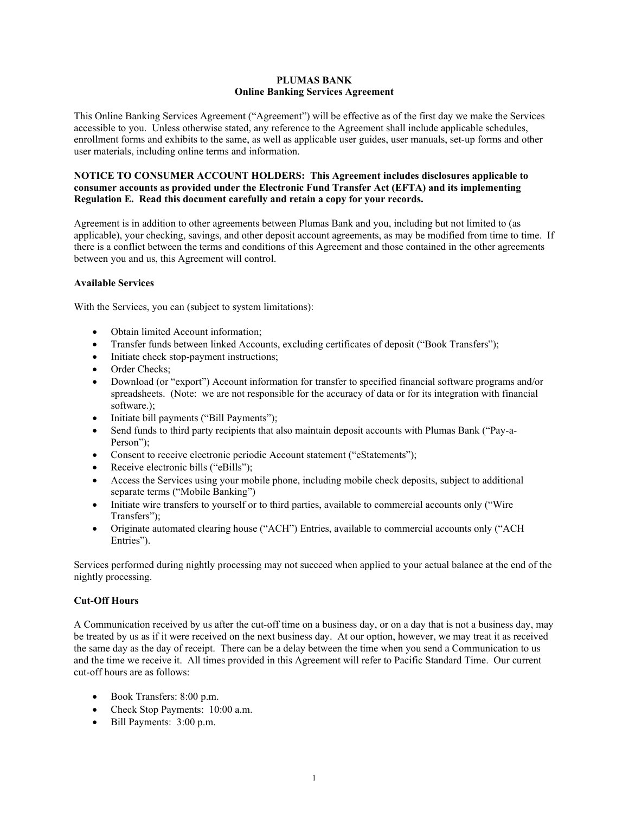## **PLUMAS BANK Online Banking Services Agreement**

This Online Banking Services Agreement ("Agreement") will be effective as of the first day we make the Services accessible to you. Unless otherwise stated, any reference to the Agreement shall include applicable schedules, enrollment forms and exhibits to the same, as well as applicable user guides, user manuals, set-up forms and other user materials, including online terms and information.

## **NOTICE TO CONSUMER ACCOUNT HOLDERS: This Agreement includes disclosures applicable to consumer accounts as provided under the Electronic Fund Transfer Act (EFTA) and its implementing Regulation E. Read this document carefully and retain a copy for your records.**

Agreement is in addition to other agreements between Plumas Bank and you, including but not limited to (as applicable), your checking, savings, and other deposit account agreements, as may be modified from time to time. If there is a conflict between the terms and conditions of this Agreement and those contained in the other agreements between you and us, this Agreement will control.

## **Available Services**

With the Services, you can (subject to system limitations):

- Obtain limited Account information:
- Transfer funds between linked Accounts, excluding certificates of deposit ("Book Transfers");
- Initiate check stop-payment instructions;
- Order Checks:
- Download (or "export") Account information for transfer to specified financial software programs and/or spreadsheets. (Note: we are not responsible for the accuracy of data or for its integration with financial software.);
- Initiate bill payments ("Bill Payments");
- Send funds to third party recipients that also maintain deposit accounts with Plumas Bank ("Pay-a-Person");
- Consent to receive electronic periodic Account statement ("eStatements");
- Receive electronic bills ("eBills");
- Access the Services using your mobile phone, including mobile check deposits, subject to additional separate terms ("Mobile Banking")
- Initiate wire transfers to yourself or to third parties, available to commercial accounts only ("Wire") Transfers");
- Originate automated clearing house ("ACH") Entries, available to commercial accounts only ("ACH Entries").

Services performed during nightly processing may not succeed when applied to your actual balance at the end of the nightly processing.

## **Cut-Off Hours**

A Communication received by us after the cut-off time on a business day, or on a day that is not a business day, may be treated by us as if it were received on the next business day. At our option, however, we may treat it as received the same day as the day of receipt. There can be a delay between the time when you send a Communication to us and the time we receive it. All times provided in this Agreement will refer to Pacific Standard Time. Our current cut-off hours are as follows:

- Book Transfers: 8:00 p.m.
- Check Stop Payments: 10:00 a.m.
- Bill Payments: 3:00 p.m.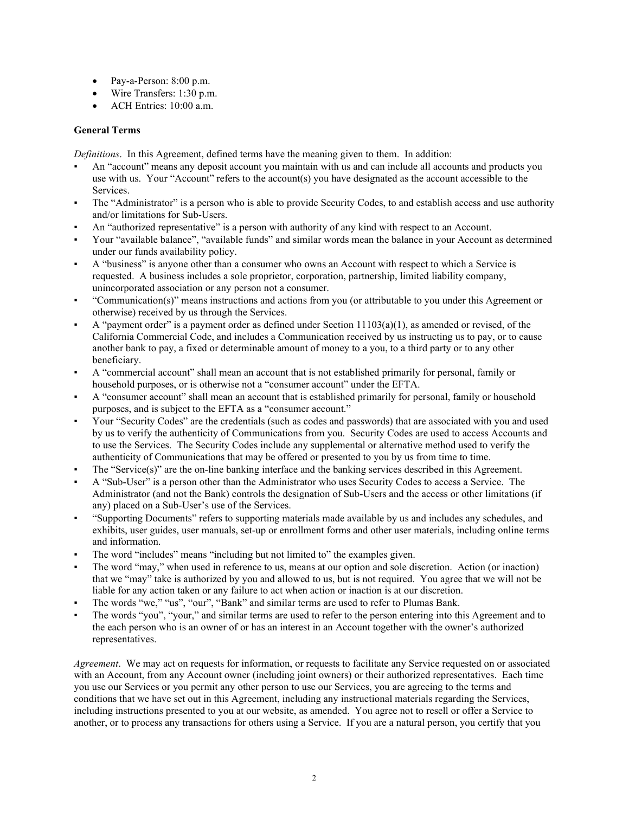- Pay-a-Person: 8:00 p.m.
- Wire Transfers: 1:30 p.m.
- ACH Entries: 10:00 a.m.

# **General Terms**

*Definitions*. In this Agreement, defined terms have the meaning given to them. In addition:

- An "account" means any deposit account you maintain with us and can include all accounts and products you use with us. Your "Account" refers to the account(s) you have designated as the account accessible to the Services.
- The "Administrator" is a person who is able to provide Security Codes, to and establish access and use authority and/or limitations for Sub-Users.
- An "authorized representative" is a person with authority of any kind with respect to an Account.
- Your "available balance", "available funds" and similar words mean the balance in your Account as determined under our funds availability policy.
- A "business" is anyone other than a consumer who owns an Account with respect to which a Service is requested. A business includes a sole proprietor, corporation, partnership, limited liability company, unincorporated association or any person not a consumer.
- "Communication(s)" means instructions and actions from you (or attributable to you under this Agreement or otherwise) received by us through the Services.
- A "payment order" is a payment order as defined under Section  $11103(a)(1)$ , as amended or revised, of the California Commercial Code, and includes a Communication received by us instructing us to pay, or to cause another bank to pay, a fixed or determinable amount of money to a you, to a third party or to any other beneficiary.
- A "commercial account" shall mean an account that is not established primarily for personal, family or household purposes, or is otherwise not a "consumer account" under the EFTA.
- A "consumer account" shall mean an account that is established primarily for personal, family or household purposes, and is subject to the EFTA as a "consumer account."
- Your "Security Codes" are the credentials (such as codes and passwords) that are associated with you and used by us to verify the authenticity of Communications from you. Security Codes are used to access Accounts and to use the Services. The Security Codes include any supplemental or alternative method used to verify the authenticity of Communications that may be offered or presented to you by us from time to time.
- The "Service $(s)$ " are the on-line banking interface and the banking services described in this Agreement.
- A "Sub-User" is a person other than the Administrator who uses Security Codes to access a Service. The Administrator (and not the Bank) controls the designation of Sub-Users and the access or other limitations (if any) placed on a Sub-User's use of the Services.
- "Supporting Documents" refers to supporting materials made available by us and includes any schedules, and exhibits, user guides, user manuals, set-up or enrollment forms and other user materials, including online terms and information.
- The word "includes" means "including but not limited to" the examples given.
- The word "may," when used in reference to us, means at our option and sole discretion. Action (or inaction) that we "may" take is authorized by you and allowed to us, but is not required. You agree that we will not be liable for any action taken or any failure to act when action or inaction is at our discretion.
- The words "we," "us", "our", "Bank" and similar terms are used to refer to Plumas Bank.
- The words "you", "your," and similar terms are used to refer to the person entering into this Agreement and to the each person who is an owner of or has an interest in an Account together with the owner's authorized representatives.

*Agreement*. We may act on requests for information, or requests to facilitate any Service requested on or associated with an Account, from any Account owner (including joint owners) or their authorized representatives. Each time you use our Services or you permit any other person to use our Services, you are agreeing to the terms and conditions that we have set out in this Agreement, including any instructional materials regarding the Services, including instructions presented to you at our website, as amended. You agree not to resell or offer a Service to another, or to process any transactions for others using a Service. If you are a natural person, you certify that you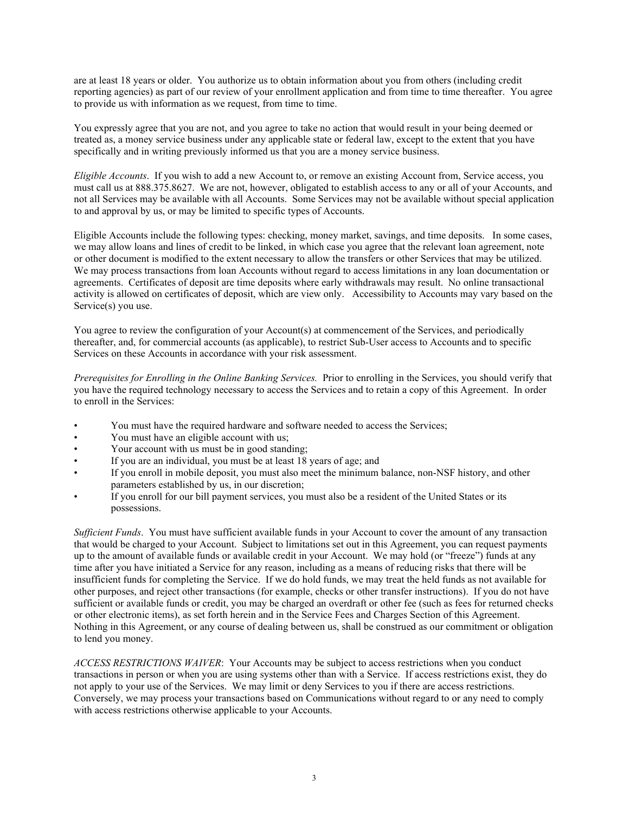are at least 18 years or older. You authorize us to obtain information about you from others (including credit reporting agencies) as part of our review of your enrollment application and from time to time thereafter. You agree to provide us with information as we request, from time to time.

You expressly agree that you are not, and you agree to take no action that would result in your being deemed or treated as, a money service business under any applicable state or federal law, except to the extent that you have specifically and in writing previously informed us that you are a money service business.

*Eligible Accounts*. If you wish to add a new Account to, or remove an existing Account from, Service access, you must call us at 888.375.8627. We are not, however, obligated to establish access to any or all of your Accounts, and not all Services may be available with all Accounts. Some Services may not be available without special application to and approval by us, or may be limited to specific types of Accounts.

Eligible Accounts include the following types: checking, money market, savings, and time deposits. In some cases, we may allow loans and lines of credit to be linked, in which case you agree that the relevant loan agreement, note or other document is modified to the extent necessary to allow the transfers or other Services that may be utilized. We may process transactions from loan Accounts without regard to access limitations in any loan documentation or agreements. Certificates of deposit are time deposits where early withdrawals may result. No online transactional activity is allowed on certificates of deposit, which are view only. Accessibility to Accounts may vary based on the Service(s) you use.

You agree to review the configuration of your Account(s) at commencement of the Services, and periodically thereafter, and, for commercial accounts (as applicable), to restrict Sub-User access to Accounts and to specific Services on these Accounts in accordance with your risk assessment.

*Prerequisites for Enrolling in the Online Banking Services.* Prior to enrolling in the Services, you should verify that you have the required technology necessary to access the Services and to retain a copy of this Agreement. In order to enroll in the Services:

- You must have the required hardware and software needed to access the Services;
- You must have an eligible account with us;
- Your account with us must be in good standing;
- If you are an individual, you must be at least 18 years of age; and
- If you enroll in mobile deposit, you must also meet the minimum balance, non-NSF history, and other parameters established by us, in our discretion;
- If you enroll for our bill payment services, you must also be a resident of the United States or its possessions.

*Sufficient Funds*. You must have sufficient available funds in your Account to cover the amount of any transaction that would be charged to your Account. Subject to limitations set out in this Agreement, you can request payments up to the amount of available funds or available credit in your Account. We may hold (or "freeze") funds at any time after you have initiated a Service for any reason, including as a means of reducing risks that there will be insufficient funds for completing the Service. If we do hold funds, we may treat the held funds as not available for other purposes, and reject other transactions (for example, checks or other transfer instructions). If you do not have sufficient or available funds or credit, you may be charged an overdraft or other fee (such as fees for returned checks or other electronic items), as set forth herein and in the Service Fees and Charges Section of this Agreement. Nothing in this Agreement, or any course of dealing between us, shall be construed as our commitment or obligation to lend you money.

*ACCESS RESTRICTIONS WAIVER*: Your Accounts may be subject to access restrictions when you conduct transactions in person or when you are using systems other than with a Service. If access restrictions exist, they do not apply to your use of the Services. We may limit or deny Services to you if there are access restrictions. Conversely, we may process your transactions based on Communications without regard to or any need to comply with access restrictions otherwise applicable to your Accounts.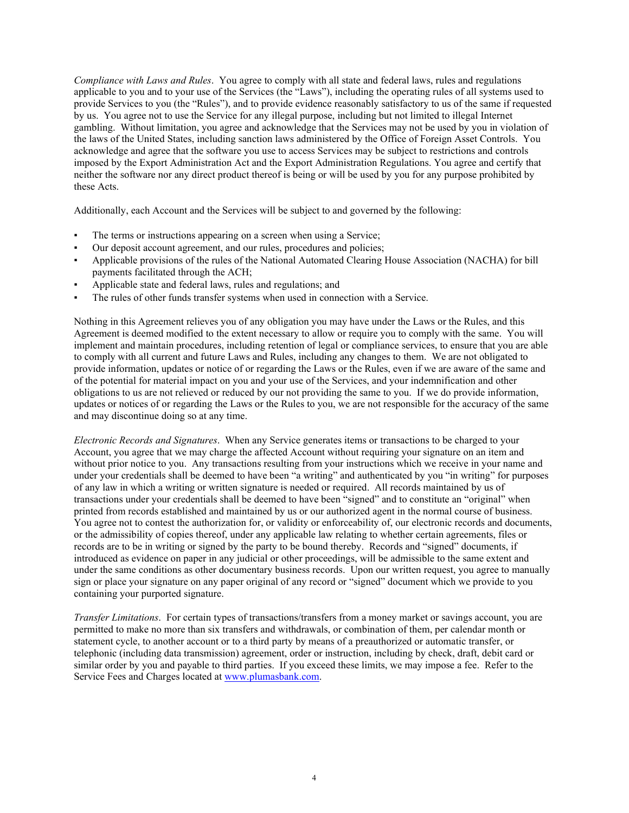*Compliance with Laws and Rules*. You agree to comply with all state and federal laws, rules and regulations applicable to you and to your use of the Services (the "Laws"), including the operating rules of all systems used to provide Services to you (the "Rules"), and to provide evidence reasonably satisfactory to us of the same if requested by us. You agree not to use the Service for any illegal purpose, including but not limited to illegal Internet gambling. Without limitation, you agree and acknowledge that the Services may not be used by you in violation of the laws of the United States, including sanction laws administered by the Office of Foreign Asset Controls. You acknowledge and agree that the software you use to access Services may be subject to restrictions and controls imposed by the Export Administration Act and the Export Administration Regulations. You agree and certify that neither the software nor any direct product thereof is being or will be used by you for any purpose prohibited by these Acts.

Additionally, each Account and the Services will be subject to and governed by the following:

- The terms or instructions appearing on a screen when using a Service;
- Our deposit account agreement, and our rules, procedures and policies;
- Applicable provisions of the rules of the National Automated Clearing House Association (NACHA) for bill payments facilitated through the ACH;
- Applicable state and federal laws, rules and regulations; and
- The rules of other funds transfer systems when used in connection with a Service.

Nothing in this Agreement relieves you of any obligation you may have under the Laws or the Rules, and this Agreement is deemed modified to the extent necessary to allow or require you to comply with the same. You will implement and maintain procedures, including retention of legal or compliance services, to ensure that you are able to comply with all current and future Laws and Rules, including any changes to them. We are not obligated to provide information, updates or notice of or regarding the Laws or the Rules, even if we are aware of the same and of the potential for material impact on you and your use of the Services, and your indemnification and other obligations to us are not relieved or reduced by our not providing the same to you. If we do provide information, updates or notices of or regarding the Laws or the Rules to you, we are not responsible for the accuracy of the same and may discontinue doing so at any time.

*Electronic Records and Signatures*. When any Service generates items or transactions to be charged to your Account, you agree that we may charge the affected Account without requiring your signature on an item and without prior notice to you. Any transactions resulting from your instructions which we receive in your name and under your credentials shall be deemed to have been "a writing" and authenticated by you "in writing" for purposes of any law in which a writing or written signature is needed or required. All records maintained by us of transactions under your credentials shall be deemed to have been "signed" and to constitute an "original" when printed from records established and maintained by us or our authorized agent in the normal course of business. You agree not to contest the authorization for, or validity or enforceability of, our electronic records and documents, or the admissibility of copies thereof, under any applicable law relating to whether certain agreements, files or records are to be in writing or signed by the party to be bound thereby. Records and "signed" documents, if introduced as evidence on paper in any judicial or other proceedings, will be admissible to the same extent and under the same conditions as other documentary business records. Upon our written request, you agree to manually sign or place your signature on any paper original of any record or "signed" document which we provide to you containing your purported signature.

*Transfer Limitations*. For certain types of transactions/transfers from a money market or savings account, you are permitted to make no more than six transfers and withdrawals, or combination of them, per calendar month or statement cycle, to another account or to a third party by means of a preauthorized or automatic transfer, or telephonic (including data transmission) agreement, order or instruction, including by check, draft, debit card or similar order by you and payable to third parties. If you exceed these limits, we may impose a fee. Refer to the Service Fees and Charges located a[t www.plumasbank.com.](http://www.plumasbank.com/)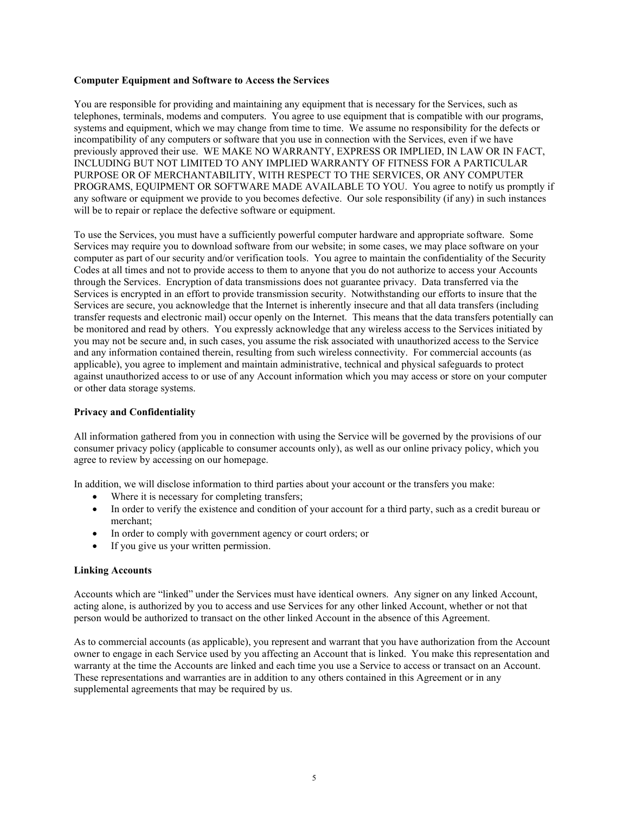### **Computer Equipment and Software to Access the Services**

You are responsible for providing and maintaining any equipment that is necessary for the Services, such as telephones, terminals, modems and computers. You agree to use equipment that is compatible with our programs, systems and equipment, which we may change from time to time. We assume no responsibility for the defects or incompatibility of any computers or software that you use in connection with the Services, even if we have previously approved their use. WE MAKE NO WARRANTY, EXPRESS OR IMPLIED, IN LAW OR IN FACT, INCLUDING BUT NOT LIMITED TO ANY IMPLIED WARRANTY OF FITNESS FOR A PARTICULAR PURPOSE OR OF MERCHANTABILITY, WITH RESPECT TO THE SERVICES, OR ANY COMPUTER PROGRAMS, EQUIPMENT OR SOFTWARE MADE AVAILABLE TO YOU. You agree to notify us promptly if any software or equipment we provide to you becomes defective. Our sole responsibility (if any) in such instances will be to repair or replace the defective software or equipment.

To use the Services, you must have a sufficiently powerful computer hardware and appropriate software. Some Services may require you to download software from our website; in some cases, we may place software on your computer as part of our security and/or verification tools. You agree to maintain the confidentiality of the Security Codes at all times and not to provide access to them to anyone that you do not authorize to access your Accounts through the Services. Encryption of data transmissions does not guarantee privacy. Data transferred via the Services is encrypted in an effort to provide transmission security. Notwithstanding our efforts to insure that the Services are secure, you acknowledge that the Internet is inherently insecure and that all data transfers (including transfer requests and electronic mail) occur openly on the Internet. This means that the data transfers potentially can be monitored and read by others. You expressly acknowledge that any wireless access to the Services initiated by you may not be secure and, in such cases, you assume the risk associated with unauthorized access to the Service and any information contained therein, resulting from such wireless connectivity. For commercial accounts (as applicable), you agree to implement and maintain administrative, technical and physical safeguards to protect against unauthorized access to or use of any Account information which you may access or store on your computer or other data storage systems.

### **Privacy and Confidentiality**

All information gathered from you in connection with using the Service will be governed by the provisions of our consumer privacy policy (applicable to consumer accounts only), as well as our online privacy policy, which you agree to review by accessing on our homepage.

In addition, we will disclose information to third parties about your account or the transfers you make:

- Where it is necessary for completing transfers;
- In order to verify the existence and condition of your account for a third party, such as a credit bureau or merchant;
- In order to comply with government agency or court orders; or
- If you give us your written permission.

### **Linking Accounts**

Accounts which are "linked" under the Services must have identical owners. Any signer on any linked Account, acting alone, is authorized by you to access and use Services for any other linked Account, whether or not that person would be authorized to transact on the other linked Account in the absence of this Agreement.

As to commercial accounts (as applicable), you represent and warrant that you have authorization from the Account owner to engage in each Service used by you affecting an Account that is linked. You make this representation and warranty at the time the Accounts are linked and each time you use a Service to access or transact on an Account. These representations and warranties are in addition to any others contained in this Agreement or in any supplemental agreements that may be required by us.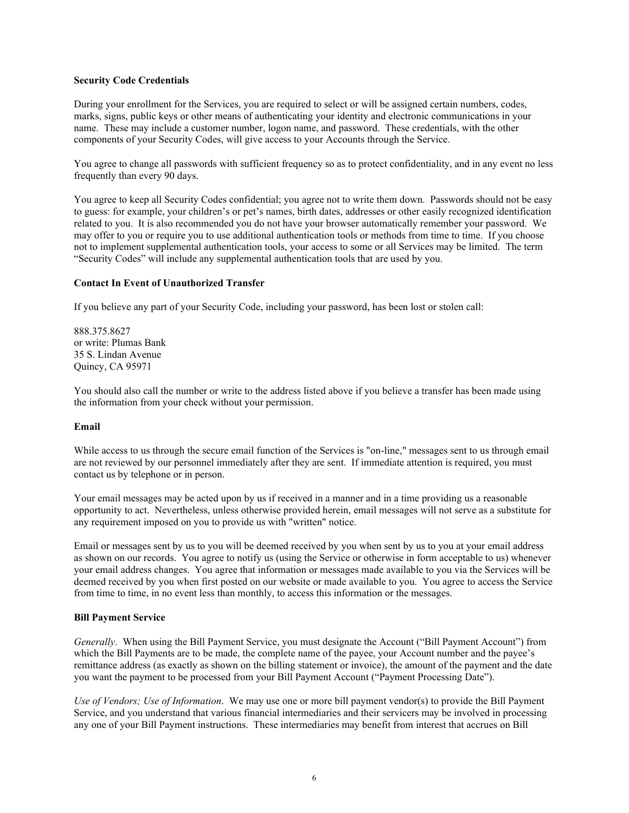### **Security Code Credentials**

During your enrollment for the Services, you are required to select or will be assigned certain numbers, codes, marks, signs, public keys or other means of authenticating your identity and electronic communications in your name. These may include a customer number, logon name, and password. These credentials, with the other components of your Security Codes, will give access to your Accounts through the Service.

You agree to change all passwords with sufficient frequency so as to protect confidentiality, and in any event no less frequently than every 90 days.

You agree to keep all Security Codes confidential; you agree not to write them down. Passwords should not be easy to guess: for example, your children's or pet's names, birth dates, addresses or other easily recognized identification related to you. It is also recommended you do not have your browser automatically remember your password. We may offer to you or require you to use additional authentication tools or methods from time to time. If you choose not to implement supplemental authentication tools, your access to some or all Services may be limited. The term "Security Codes" will include any supplemental authentication tools that are used by you.

### **Contact In Event of Unauthorized Transfer**

If you believe any part of your Security Code, including your password, has been lost or stolen call:

888.375.8627 or write: Plumas Bank 35 S. Lindan Avenue Quincy, CA 95971

You should also call the number or write to the address listed above if you believe a transfer has been made using the information from your check without your permission.

### **Email**

While access to us through the secure email function of the Services is "on-line," messages sent to us through email are not reviewed by our personnel immediately after they are sent. If immediate attention is required, you must contact us by telephone or in person.

Your email messages may be acted upon by us if received in a manner and in a time providing us a reasonable opportunity to act. Nevertheless, unless otherwise provided herein, email messages will not serve as a substitute for any requirement imposed on you to provide us with "written" notice.

Email or messages sent by us to you will be deemed received by you when sent by us to you at your email address as shown on our records. You agree to notify us (using the Service or otherwise in form acceptable to us) whenever your email address changes. You agree that information or messages made available to you via the Services will be deemed received by you when first posted on our website or made available to you. You agree to access the Service from time to time, in no event less than monthly, to access this information or the messages.

### **Bill Payment Service**

*Generally*. When using the Bill Payment Service, you must designate the Account ("Bill Payment Account") from which the Bill Payments are to be made, the complete name of the payee, your Account number and the payee's remittance address (as exactly as shown on the billing statement or invoice), the amount of the payment and the date you want the payment to be processed from your Bill Payment Account ("Payment Processing Date").

*Use of Vendors; Use of Information*. We may use one or more bill payment vendor(s) to provide the Bill Payment Service, and you understand that various financial intermediaries and their servicers may be involved in processing any one of your Bill Payment instructions. These intermediaries may benefit from interest that accrues on Bill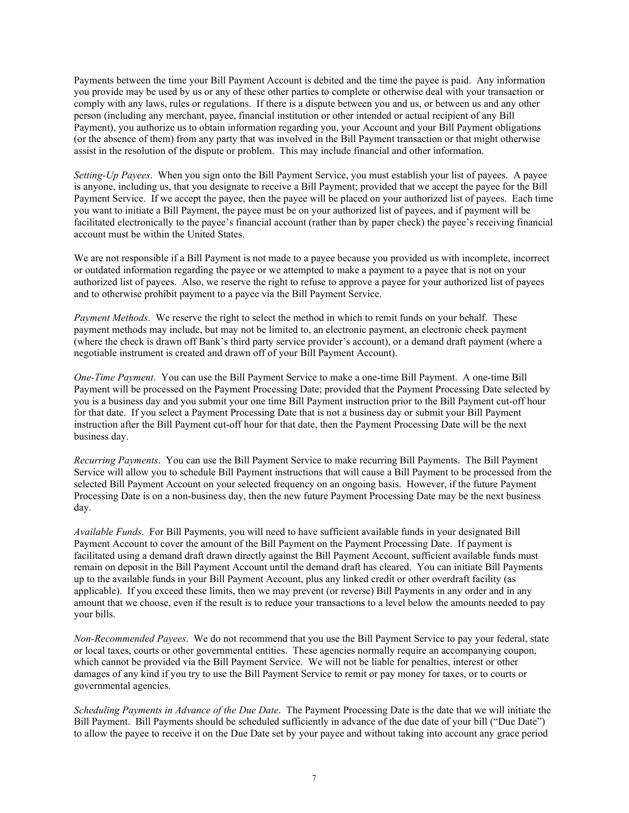Payments between the time your Bill Payment Account is debited and the time the payee is paid. Any information you provide may be used by us or any of these other parties to complete or otherwise deal with your transaction or comply with any laws, rules or regulations. If there is a dispute between you and us, or between us and any other person (including any merchant, payee, financial institution or other intended or actual recipient of any Bill Payment), you authorize us to obtain information regarding you, your Account and your Bill Payment obligations (or the absence of them) from any party that was involved in the Bill Payment transaction or that might otherwise assist in the resolution of the dispute or problem. This may include financial and other information.

*Setting-Up Payees*. When you sign onto the Bill Payment Service, you must establish your list of payees. A payee is anyone, including us, that you designate to receive a Bill Payment; provided that we accept the payee for the Bill Payment Service. If we accept the payee, then the payee will be placed on your authorized list of payees. Each time you want to initiate a Bill Payment, the payee must be on your authorized list of payees, and if payment will be facilitated electronically to the payee's financial account (rather than by paper check) the payee's receiving financial account must be within the United States.

We are not responsible if a Bill Payment is not made to a payee because you provided us with incomplete, incorrect or outdated information regarding the payee or we attempted to make a payment to a payee that is not on your authorized list of payees. Also, we reserve the right to refuse to approve a payee for your authorized list of payees and to otherwise prohibit payment to a payee via the Bill Payment Service.

*Payment Methods*. We reserve the right to select the method in which to remit funds on your behalf. These payment methods may include, but may not be limited to, an electronic payment, an electronic check payment (where the check is drawn off Bank's third party service provider's account), or a demand draft payment (where a negotiable instrument is created and drawn off of your Bill Payment Account).

*One-Time Payment*. You can use the Bill Payment Service to make a one-time Bill Payment. A one-time Bill Payment will be processed on the Payment Processing Date; provided that the Payment Processing Date selected by you is a business day and you submit your one time Bill Payment instruction prior to the Bill Payment cut-off hour for that date. If you select a Payment Processing Date that is not a business day or submit your Bill Payment instruction after the Bill Payment cut-off hour for that date, then the Payment Processing Date will be the next business day.

*Recurring Payments*. You can use the Bill Payment Service to make recurring Bill Payments. The Bill Payment Service will allow you to schedule Bill Payment instructions that will cause a Bill Payment to be processed from the selected Bill Payment Account on your selected frequency on an ongoing basis. However, if the future Payment Processing Date is on a non-business day, then the new future Payment Processing Date may be the next business day.

*Available Funds*. For Bill Payments, you will need to have sufficient available funds in your designated Bill Payment Account to cover the amount of the Bill Payment on the Payment Processing Date. If payment is facilitated using a demand draft drawn directly against the Bill Payment Account, sufficient available funds must remain on deposit in the Bill Payment Account until the demand draft has cleared. You can initiate Bill Payments up to the available funds in your Bill Payment Account, plus any linked credit or other overdraft facility (as applicable). If you exceed these limits, then we may prevent (or reverse) Bill Payments in any order and in any amount that we choose, even if the result is to reduce your transactions to a level below the amounts needed to pay your bills.

*Non-Recommended Payees*. We do not recommend that you use the Bill Payment Service to pay your federal, state or local taxes, courts or other governmental entities. These agencies normally require an accompanying coupon, which cannot be provided via the Bill Payment Service. We will not be liable for penalties, interest or other damages of any kind if you try to use the Bill Payment Service to remit or pay money for taxes, or to courts or governmental agencies.

*Scheduling Payments in Advance of the Due Date*. The Payment Processing Date is the date that we will initiate the Bill Payment. Bill Payments should be scheduled sufficiently in advance of the due date of your bill ("Due Date") to allow the payee to receive it on the Due Date set by your payee and without taking into account any grace period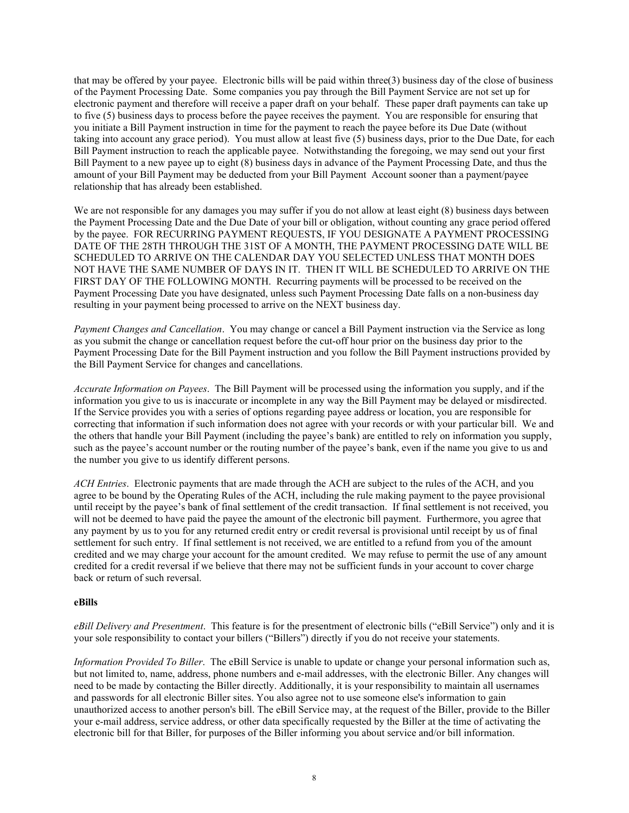that may be offered by your payee. Electronic bills will be paid within three(3) business day of the close of business of the Payment Processing Date. Some companies you pay through the Bill Payment Service are not set up for electronic payment and therefore will receive a paper draft on your behalf. These paper draft payments can take up to five (5) business days to process before the payee receives the payment. You are responsible for ensuring that you initiate a Bill Payment instruction in time for the payment to reach the payee before its Due Date (without taking into account any grace period). You must allow at least five (5) business days, prior to the Due Date, for each Bill Payment instruction to reach the applicable payee. Notwithstanding the foregoing, we may send out your first Bill Payment to a new payee up to eight (8) business days in advance of the Payment Processing Date, and thus the amount of your Bill Payment may be deducted from your Bill Payment Account sooner than a payment/payee relationship that has already been established.

We are not responsible for any damages you may suffer if you do not allow at least eight  $(8)$  business days between the Payment Processing Date and the Due Date of your bill or obligation, without counting any grace period offered by the payee. FOR RECURRING PAYMENT REQUESTS, IF YOU DESIGNATE A PAYMENT PROCESSING DATE OF THE 28TH THROUGH THE 31ST OF A MONTH, THE PAYMENT PROCESSING DATE WILL BE SCHEDULED TO ARRIVE ON THE CALENDAR DAY YOU SELECTED UNLESS THAT MONTH DOES NOT HAVE THE SAME NUMBER OF DAYS IN IT. THEN IT WILL BE SCHEDULED TO ARRIVE ON THE FIRST DAY OF THE FOLLOWING MONTH. Recurring payments will be processed to be received on the Payment Processing Date you have designated, unless such Payment Processing Date falls on a non-business day resulting in your payment being processed to arrive on the NEXT business day.

*Payment Changes and Cancellation*. You may change or cancel a Bill Payment instruction via the Service as long as you submit the change or cancellation request before the cut-off hour prior on the business day prior to the Payment Processing Date for the Bill Payment instruction and you follow the Bill Payment instructions provided by the Bill Payment Service for changes and cancellations.

*Accurate Information on Payees*. The Bill Payment will be processed using the information you supply, and if the information you give to us is inaccurate or incomplete in any way the Bill Payment may be delayed or misdirected. If the Service provides you with a series of options regarding payee address or location, you are responsible for correcting that information if such information does not agree with your records or with your particular bill. We and the others that handle your Bill Payment (including the payee's bank) are entitled to rely on information you supply, such as the payee's account number or the routing number of the payee's bank, even if the name you give to us and the number you give to us identify different persons.

*ACH Entries*. Electronic payments that are made through the ACH are subject to the rules of the ACH, and you agree to be bound by the Operating Rules of the ACH, including the rule making payment to the payee provisional until receipt by the payee's bank of final settlement of the credit transaction. If final settlement is not received, you will not be deemed to have paid the payee the amount of the electronic bill payment. Furthermore, you agree that any payment by us to you for any returned credit entry or credit reversal is provisional until receipt by us of final settlement for such entry. If final settlement is not received, we are entitled to a refund from you of the amount credited and we may charge your account for the amount credited. We may refuse to permit the use of any amount credited for a credit reversal if we believe that there may not be sufficient funds in your account to cover charge back or return of such reversal.

### **eBills**

*eBill Delivery and Presentment*. This feature is for the presentment of electronic bills ("eBill Service") only and it is your sole responsibility to contact your billers ("Billers") directly if you do not receive your statements.

*Information Provided To Biller*. The eBill Service is unable to update or change your personal information such as, but not limited to, name, address, phone numbers and e-mail addresses, with the electronic Biller. Any changes will need to be made by contacting the Biller directly. Additionally, it is your responsibility to maintain all usernames and passwords for all electronic Biller sites. You also agree not to use someone else's information to gain unauthorized access to another person's bill. The eBill Service may, at the request of the Biller, provide to the Biller your e-mail address, service address, or other data specifically requested by the Biller at the time of activating the electronic bill for that Biller, for purposes of the Biller informing you about service and/or bill information.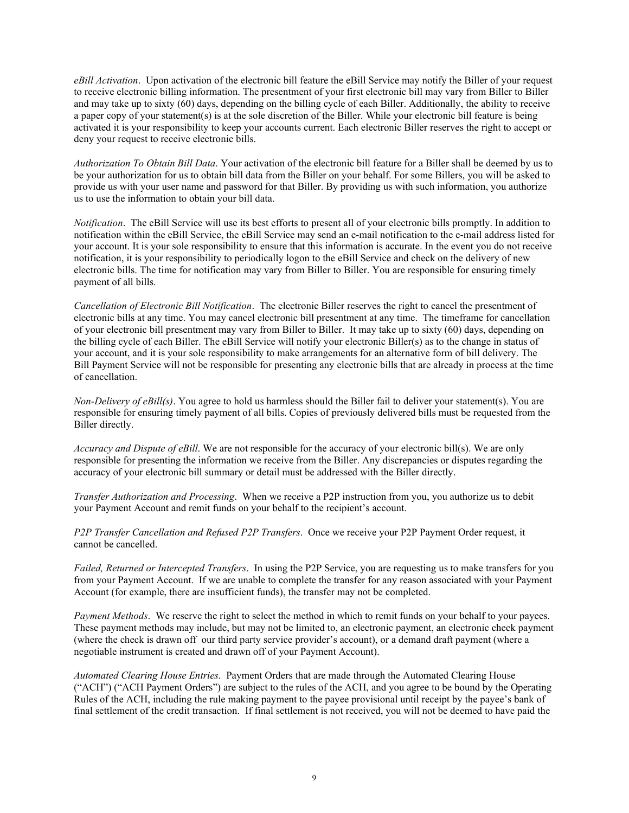*eBill Activation*. Upon activation of the electronic bill feature the eBill Service may notify the Biller of your request to receive electronic billing information. The presentment of your first electronic bill may vary from Biller to Biller and may take up to sixty  $(60)$  days, depending on the billing cycle of each Biller. Additionally, the ability to receive a paper copy of your statement(s) is at the sole discretion of the Biller. While your electronic bill feature is being activated it is your responsibility to keep your accounts current. Each electronic Biller reserves the right to accept or deny your request to receive electronic bills.

*Authorization To Obtain Bill Data*. Your activation of the electronic bill feature for a Biller shall be deemed by us to be your authorization for us to obtain bill data from the Biller on your behalf. For some Billers, you will be asked to provide us with your user name and password for that Biller. By providing us with such information, you authorize us to use the information to obtain your bill data.

*Notification*. The eBill Service will use its best efforts to present all of your electronic bills promptly. In addition to notification within the eBill Service, the eBill Service may send an e-mail notification to the e-mail address listed for your account. It is your sole responsibility to ensure that this information is accurate. In the event you do not receive notification, it is your responsibility to periodically logon to the eBill Service and check on the delivery of new electronic bills. The time for notification may vary from Biller to Biller. You are responsible for ensuring timely payment of all bills.

*Cancellation of Electronic Bill Notification*. The electronic Biller reserves the right to cancel the presentment of electronic bills at any time. You may cancel electronic bill presentment at any time. The timeframe for cancellation of your electronic bill presentment may vary from Biller to Biller. It may take up to sixty (60) days, depending on the billing cycle of each Biller. The eBill Service will notify your electronic Biller(s) as to the change in status of your account, and it is your sole responsibility to make arrangements for an alternative form of bill delivery. The Bill Payment Service will not be responsible for presenting any electronic bills that are already in process at the time of cancellation.

*Non-Delivery of eBill(s)*. You agree to hold us harmless should the Biller fail to deliver your statement(s). You are responsible for ensuring timely payment of all bills. Copies of previously delivered bills must be requested from the Biller directly.

*Accuracy and Dispute of eBill*. We are not responsible for the accuracy of your electronic bill(s). We are only responsible for presenting the information we receive from the Biller. Any discrepancies or disputes regarding the accuracy of your electronic bill summary or detail must be addressed with the Biller directly.

*Transfer Authorization and Processing*. When we receive a P2P instruction from you, you authorize us to debit your Payment Account and remit funds on your behalf to the recipient's account.

*P2P Transfer Cancellation and Refused P2P Transfers*. Once we receive your P2P Payment Order request, it cannot be cancelled.

*Failed, Returned or Intercepted Transfers*. In using the P2P Service, you are requesting us to make transfers for you from your Payment Account. If we are unable to complete the transfer for any reason associated with your Payment Account (for example, there are insufficient funds), the transfer may not be completed.

*Payment Methods*. We reserve the right to select the method in which to remit funds on your behalf to your payees. These payment methods may include, but may not be limited to, an electronic payment, an electronic check payment (where the check is drawn off our third party service provider's account), or a demand draft payment (where a negotiable instrument is created and drawn off of your Payment Account).

*Automated Clearing House Entries*. Payment Orders that are made through the Automated Clearing House ("ACH") ("ACH Payment Orders") are subject to the rules of the ACH, and you agree to be bound by the Operating Rules of the ACH, including the rule making payment to the payee provisional until receipt by the payee's bank of final settlement of the credit transaction. If final settlement is not received, you will not be deemed to have paid the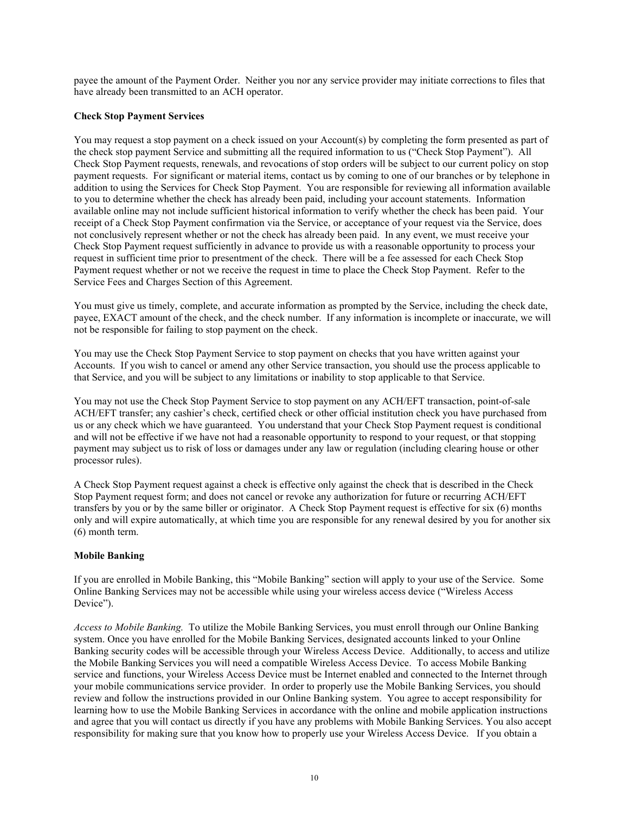payee the amount of the Payment Order. Neither you nor any service provider may initiate corrections to files that have already been transmitted to an ACH operator.

## **Check Stop Payment Services**

You may request a stop payment on a check issued on your Account(s) by completing the form presented as part of the check stop payment Service and submitting all the required information to us ("Check Stop Payment"). All Check Stop Payment requests, renewals, and revocations of stop orders will be subject to our current policy on stop payment requests. For significant or material items, contact us by coming to one of our branches or by telephone in addition to using the Services for Check Stop Payment. You are responsible for reviewing all information available to you to determine whether the check has already been paid, including your account statements. Information available online may not include sufficient historical information to verify whether the check has been paid. Your receipt of a Check Stop Payment confirmation via the Service, or acceptance of your request via the Service, does not conclusively represent whether or not the check has already been paid. In any event, we must receive your Check Stop Payment request sufficiently in advance to provide us with a reasonable opportunity to process your request in sufficient time prior to presentment of the check. There will be a fee assessed for each Check Stop Payment request whether or not we receive the request in time to place the Check Stop Payment. Refer to the Service Fees and Charges Section of this Agreement.

You must give us timely, complete, and accurate information as prompted by the Service, including the check date, payee, EXACT amount of the check, and the check number. If any information is incomplete or inaccurate, we will not be responsible for failing to stop payment on the check.

You may use the Check Stop Payment Service to stop payment on checks that you have written against your Accounts. If you wish to cancel or amend any other Service transaction, you should use the process applicable to that Service, and you will be subject to any limitations or inability to stop applicable to that Service.

You may not use the Check Stop Payment Service to stop payment on any ACH/EFT transaction, point-of-sale ACH/EFT transfer; any cashier's check, certified check or other official institution check you have purchased from us or any check which we have guaranteed. You understand that your Check Stop Payment request is conditional and will not be effective if we have not had a reasonable opportunity to respond to your request, or that stopping payment may subject us to risk of loss or damages under any law or regulation (including clearing house or other processor rules).

A Check Stop Payment request against a check is effective only against the check that is described in the Check Stop Payment request form; and does not cancel or revoke any authorization for future or recurring ACH/EFT transfers by you or by the same biller or originator. A Check Stop Payment request is effective for six (6) months only and will expire automatically, at which time you are responsible for any renewal desired by you for another six (6) month term.

## **Mobile Banking**

If you are enrolled in Mobile Banking, this "Mobile Banking" section will apply to your use of the Service. Some Online Banking Services may not be accessible while using your wireless access device ("Wireless Access Device").

*Access to Mobile Banking.* To utilize the Mobile Banking Services, you must enroll through our Online Banking system. Once you have enrolled for the Mobile Banking Services, designated accounts linked to your Online Banking security codes will be accessible through your Wireless Access Device. Additionally, to access and utilize the Mobile Banking Services you will need a compatible Wireless Access Device. To access Mobile Banking service and functions, your Wireless Access Device must be Internet enabled and connected to the Internet through your mobile communications service provider. In order to properly use the Mobile Banking Services, you should review and follow the instructions provided in our Online Banking system. You agree to accept responsibility for learning how to use the Mobile Banking Services in accordance with the online and mobile application instructions and agree that you will contact us directly if you have any problems with Mobile Banking Services. You also accept responsibility for making sure that you know how to properly use your Wireless Access Device. If you obtain a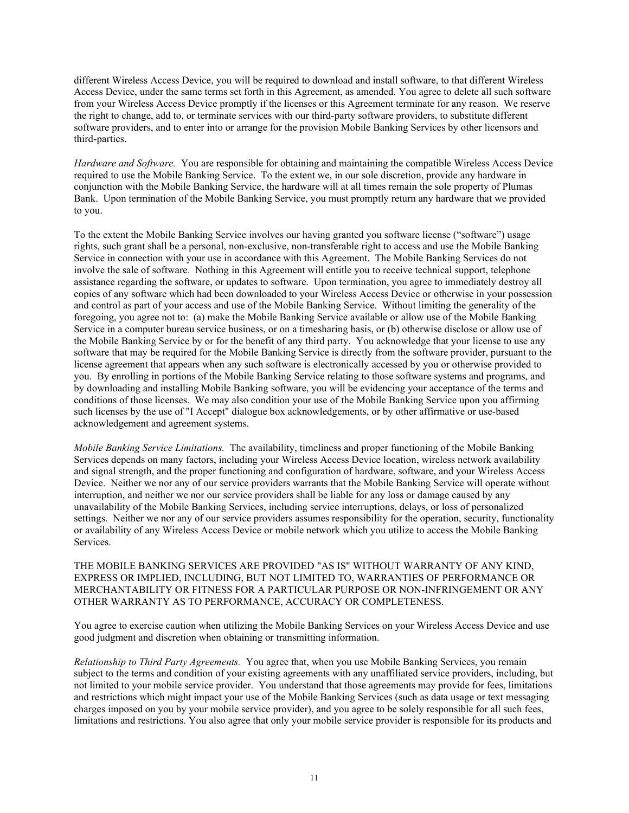different Wireless Access Device, you will be required to download and install software, to that different Wireless Access Device, under the same terms set forth in this Agreement, as amended. You agree to delete all such software from your Wireless Access Device promptly if the licenses or this Agreement terminate for any reason. We reserve the right to change, add to, or terminate services with our third-party software providers, to substitute different software providers, and to enter into or arrange for the provision Mobile Banking Services by other licensors and third-parties.

*Hardware and Software.* You are responsible for obtaining and maintaining the compatible Wireless Access Device required to use the Mobile Banking Service. To the extent we, in our sole discretion, provide any hardware in conjunction with the Mobile Banking Service, the hardware will at all times remain the sole property of Plumas Bank. Upon termination of the Mobile Banking Service, you must promptly return any hardware that we provided to you.

To the extent the Mobile Banking Service involves our having granted you software license ("software") usage rights, such grant shall be a personal, non-exclusive, non-transferable right to access and use the Mobile Banking Service in connection with your use in accordance with this Agreement. The Mobile Banking Services do not involve the sale of software. Nothing in this Agreement will entitle you to receive technical support, telephone assistance regarding the software, or updates to software. Upon termination, you agree to immediately destroy all copies of any software which had been downloaded to your Wireless Access Device or otherwise in your possession and control as part of your access and use of the Mobile Banking Service. Without limiting the generality of the foregoing, you agree not to: (a) make the Mobile Banking Service available or allow use of the Mobile Banking Service in a computer bureau service business, or on a timesharing basis, or (b) otherwise disclose or allow use of the Mobile Banking Service by or for the benefit of any third party. You acknowledge that your license to use any software that may be required for the Mobile Banking Service is directly from the software provider, pursuant to the license agreement that appears when any such software is electronically accessed by you or otherwise provided to you. By enrolling in portions of the Mobile Banking Service relating to those software systems and programs, and by downloading and installing Mobile Banking software, you will be evidencing your acceptance of the terms and conditions of those licenses. We may also condition your use of the Mobile Banking Service upon you affirming such licenses by the use of "I Accept" dialogue box acknowledgements, or by other affirmative or use-based acknowledgement and agreement systems.

*Mobile Banking Service Limitations.* The availability, timeliness and proper functioning of the Mobile Banking Services depends on many factors, including your Wireless Access Device location, wireless network availability and signal strength, and the proper functioning and configuration of hardware, software, and your Wireless Access Device. Neither we nor any of our service providers warrants that the Mobile Banking Service will operate without interruption, and neither we nor our service providers shall be liable for any loss or damage caused by any unavailability of the Mobile Banking Services, including service interruptions, delays, or loss of personalized settings. Neither we nor any of our service providers assumes responsibility for the operation, security, functionality or availability of any Wireless Access Device or mobile network which you utilize to access the Mobile Banking Services.

THE MOBILE BANKING SERVICES ARE PROVIDED "AS IS" WITHOUT WARRANTY OF ANY KIND, EXPRESS OR IMPLIED, INCLUDING, BUT NOT LIMITED TO, WARRANTIES OF PERFORMANCE OR MERCHANTABILITY OR FITNESS FOR A PARTICULAR PURPOSE OR NON-INFRINGEMENT OR ANY OTHER WARRANTY AS TO PERFORMANCE, ACCURACY OR COMPLETENESS.

You agree to exercise caution when utilizing the Mobile Banking Services on your Wireless Access Device and use good judgment and discretion when obtaining or transmitting information.

*Relationship to Third Party Agreements.* You agree that, when you use Mobile Banking Services, you remain subject to the terms and condition of your existing agreements with any unaffiliated service providers, including, but not limited to your mobile service provider. You understand that those agreements may provide for fees, limitations and restrictions which might impact your use of the Mobile Banking Services (such as data usage or text messaging charges imposed on you by your mobile service provider), and you agree to be solely responsible for all such fees, limitations and restrictions. You also agree that only your mobile service provider is responsible for its products and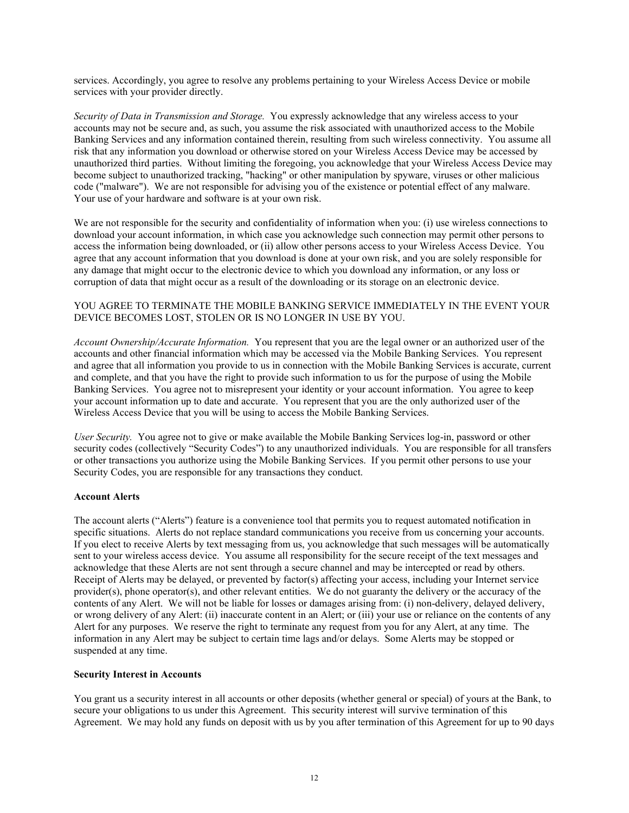services. Accordingly, you agree to resolve any problems pertaining to your Wireless Access Device or mobile services with your provider directly.

*Security of Data in Transmission and Storage.* You expressly acknowledge that any wireless access to your accounts may not be secure and, as such, you assume the risk associated with unauthorized access to the Mobile Banking Services and any information contained therein, resulting from such wireless connectivity. You assume all risk that any information you download or otherwise stored on your Wireless Access Device may be accessed by unauthorized third parties. Without limiting the foregoing, you acknowledge that your Wireless Access Device may become subject to unauthorized tracking, "hacking" or other manipulation by spyware, viruses or other malicious code ("malware"). We are not responsible for advising you of the existence or potential effect of any malware. Your use of your hardware and software is at your own risk.

We are not responsible for the security and confidentiality of information when you: (i) use wireless connections to download your account information, in which case you acknowledge such connection may permit other persons to access the information being downloaded, or (ii) allow other persons access to your Wireless Access Device. You agree that any account information that you download is done at your own risk, and you are solely responsible for any damage that might occur to the electronic device to which you download any information, or any loss or corruption of data that might occur as a result of the downloading or its storage on an electronic device.

### YOU AGREE TO TERMINATE THE MOBILE BANKING SERVICE IMMEDIATELY IN THE EVENT YOUR DEVICE BECOMES LOST, STOLEN OR IS NO LONGER IN USE BY YOU.

*Account Ownership/Accurate Information.* You represent that you are the legal owner or an authorized user of the accounts and other financial information which may be accessed via the Mobile Banking Services. You represent and agree that all information you provide to us in connection with the Mobile Banking Services is accurate, current and complete, and that you have the right to provide such information to us for the purpose of using the Mobile Banking Services. You agree not to misrepresent your identity or your account information. You agree to keep your account information up to date and accurate. You represent that you are the only authorized user of the Wireless Access Device that you will be using to access the Mobile Banking Services.

*User Security.* You agree not to give or make available the Mobile Banking Services log-in, password or other security codes (collectively "Security Codes") to any unauthorized individuals. You are responsible for all transfers or other transactions you authorize using the Mobile Banking Services. If you permit other persons to use your Security Codes, you are responsible for any transactions they conduct.

### **Account Alerts**

The account alerts ("Alerts") feature is a convenience tool that permits you to request automated notification in specific situations. Alerts do not replace standard communications you receive from us concerning your accounts. If you elect to receive Alerts by text messaging from us, you acknowledge that such messages will be automatically sent to your wireless access device. You assume all responsibility for the secure receipt of the text messages and acknowledge that these Alerts are not sent through a secure channel and may be intercepted or read by others. Receipt of Alerts may be delayed, or prevented by factor(s) affecting your access, including your Internet service provider(s), phone operator(s), and other relevant entities. We do not guaranty the delivery or the accuracy of the contents of any Alert. We will not be liable for losses or damages arising from: (i) non-delivery, delayed delivery, or wrong delivery of any Alert: (ii) inaccurate content in an Alert; or (iii) your use or reliance on the contents of any Alert for any purposes. We reserve the right to terminate any request from you for any Alert, at any time. The information in any Alert may be subject to certain time lags and/or delays. Some Alerts may be stopped or suspended at any time.

### **Security Interest in Accounts**

You grant us a security interest in all accounts or other deposits (whether general or special) of yours at the Bank, to secure your obligations to us under this Agreement. This security interest will survive termination of this Agreement. We may hold any funds on deposit with us by you after termination of this Agreement for up to 90 days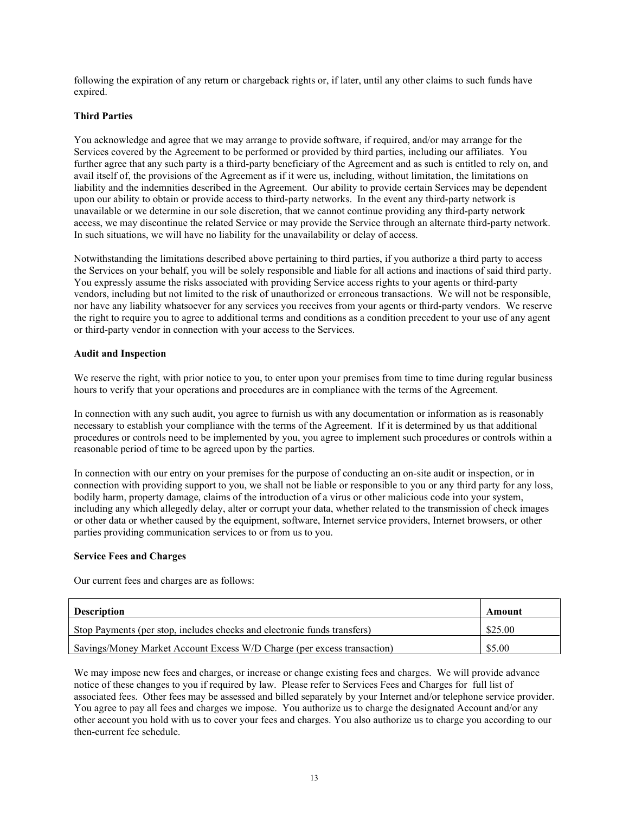following the expiration of any return or chargeback rights or, if later, until any other claims to such funds have expired.

## **Third Parties**

You acknowledge and agree that we may arrange to provide software, if required, and/or may arrange for the Services covered by the Agreement to be performed or provided by third parties, including our affiliates. You further agree that any such party is a third-party beneficiary of the Agreement and as such is entitled to rely on, and avail itself of, the provisions of the Agreement as if it were us, including, without limitation, the limitations on liability and the indemnities described in the Agreement. Our ability to provide certain Services may be dependent upon our ability to obtain or provide access to third-party networks. In the event any third-party network is unavailable or we determine in our sole discretion, that we cannot continue providing any third-party network access, we may discontinue the related Service or may provide the Service through an alternate third-party network. In such situations, we will have no liability for the unavailability or delay of access.

Notwithstanding the limitations described above pertaining to third parties, if you authorize a third party to access the Services on your behalf, you will be solely responsible and liable for all actions and inactions of said third party. You expressly assume the risks associated with providing Service access rights to your agents or third-party vendors, including but not limited to the risk of unauthorized or erroneous transactions. We will not be responsible, nor have any liability whatsoever for any services you receives from your agents or third-party vendors. We reserve the right to require you to agree to additional terms and conditions as a condition precedent to your use of any agent or third-party vendor in connection with your access to the Services.

### **Audit and Inspection**

We reserve the right, with prior notice to you, to enter upon your premises from time to time during regular business hours to verify that your operations and procedures are in compliance with the terms of the Agreement.

In connection with any such audit, you agree to furnish us with any documentation or information as is reasonably necessary to establish your compliance with the terms of the Agreement. If it is determined by us that additional procedures or controls need to be implemented by you, you agree to implement such procedures or controls within a reasonable period of time to be agreed upon by the parties.

In connection with our entry on your premises for the purpose of conducting an on-site audit or inspection, or in connection with providing support to you, we shall not be liable or responsible to you or any third party for any loss, bodily harm, property damage, claims of the introduction of a virus or other malicious code into your system, including any which allegedly delay, alter or corrupt your data, whether related to the transmission of check images or other data or whether caused by the equipment, software, Internet service providers, Internet browsers, or other parties providing communication services to or from us to you.

## **Service Fees and Charges**

Our current fees and charges are as follows:

| <b>Description</b>                                                       | Amount  |
|--------------------------------------------------------------------------|---------|
| Stop Payments (per stop, includes checks and electronic funds transfers) | \$25.00 |
| Savings/Money Market Account Excess W/D Charge (per excess transaction)  | \$5.00  |

We may impose new fees and charges, or increase or change existing fees and charges. We will provide advance notice of these changes to you if required by law. Please refer to Services Fees and Charges for full list of associated fees. Other fees may be assessed and billed separately by your Internet and/or telephone service provider. You agree to pay all fees and charges we impose. You authorize us to charge the designated Account and/or any other account you hold with us to cover your fees and charges. You also authorize us to charge you according to our then-current fee schedule.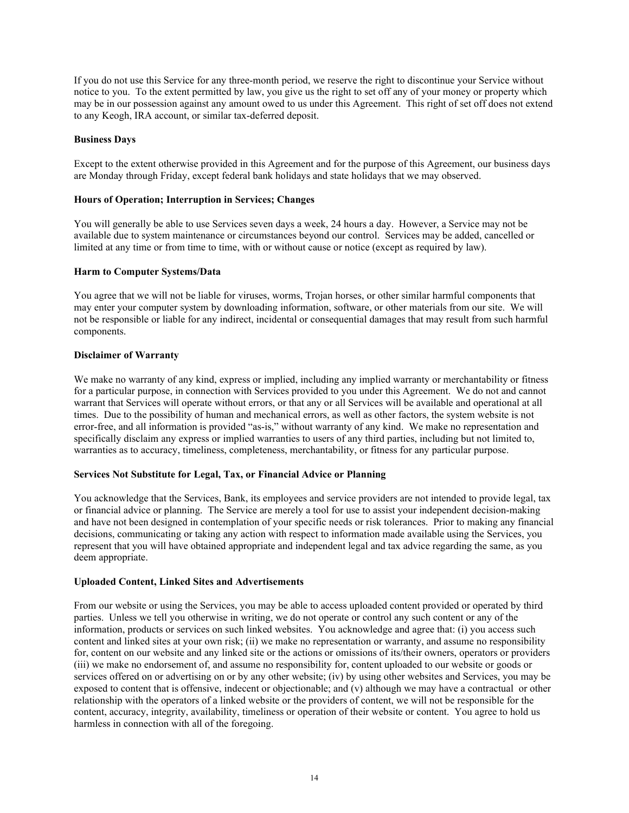If you do not use this Service for any three-month period, we reserve the right to discontinue your Service without notice to you. To the extent permitted by law, you give us the right to set off any of your money or property which may be in our possession against any amount owed to us under this Agreement. This right of set off does not extend to any Keogh, IRA account, or similar tax-deferred deposit.

### **Business Days**

Except to the extent otherwise provided in this Agreement and for the purpose of this Agreement, our business days are Monday through Friday, except federal bank holidays and state holidays that we may observed.

### **Hours of Operation; Interruption in Services; Changes**

You will generally be able to use Services seven days a week, 24 hours a day. However, a Service may not be available due to system maintenance or circumstances beyond our control. Services may be added, cancelled or limited at any time or from time to time, with or without cause or notice (except as required by law).

### **Harm to Computer Systems/Data**

You agree that we will not be liable for viruses, worms, Trojan horses, or other similar harmful components that may enter your computer system by downloading information, software, or other materials from our site. We will not be responsible or liable for any indirect, incidental or consequential damages that may result from such harmful components.

### **Disclaimer of Warranty**

We make no warranty of any kind, express or implied, including any implied warranty or merchantability or fitness for a particular purpose, in connection with Services provided to you under this Agreement. We do not and cannot warrant that Services will operate without errors, or that any or all Services will be available and operational at all times. Due to the possibility of human and mechanical errors, as well as other factors, the system website is not error-free, and all information is provided "as-is," without warranty of any kind. We make no representation and specifically disclaim any express or implied warranties to users of any third parties, including but not limited to, warranties as to accuracy, timeliness, completeness, merchantability, or fitness for any particular purpose.

## **Services Not Substitute for Legal, Tax, or Financial Advice or Planning**

You acknowledge that the Services, Bank, its employees and service providers are not intended to provide legal, tax or financial advice or planning. The Service are merely a tool for use to assist your independent decision-making and have not been designed in contemplation of your specific needs or risk tolerances. Prior to making any financial decisions, communicating or taking any action with respect to information made available using the Services, you represent that you will have obtained appropriate and independent legal and tax advice regarding the same, as you deem appropriate.

## **Uploaded Content, Linked Sites and Advertisements**

From our website or using the Services, you may be able to access uploaded content provided or operated by third parties. Unless we tell you otherwise in writing, we do not operate or control any such content or any of the information, products or services on such linked websites. You acknowledge and agree that: (i) you access such content and linked sites at your own risk; (ii) we make no representation or warranty, and assume no responsibility for, content on our website and any linked site or the actions or omissions of its/their owners, operators or providers (iii) we make no endorsement of, and assume no responsibility for, content uploaded to our website or goods or services offered on or advertising on or by any other website; (iv) by using other websites and Services, you may be exposed to content that is offensive, indecent or objectionable; and (v) although we may have a contractual or other relationship with the operators of a linked website or the providers of content, we will not be responsible for the content, accuracy, integrity, availability, timeliness or operation of their website or content. You agree to hold us harmless in connection with all of the foregoing.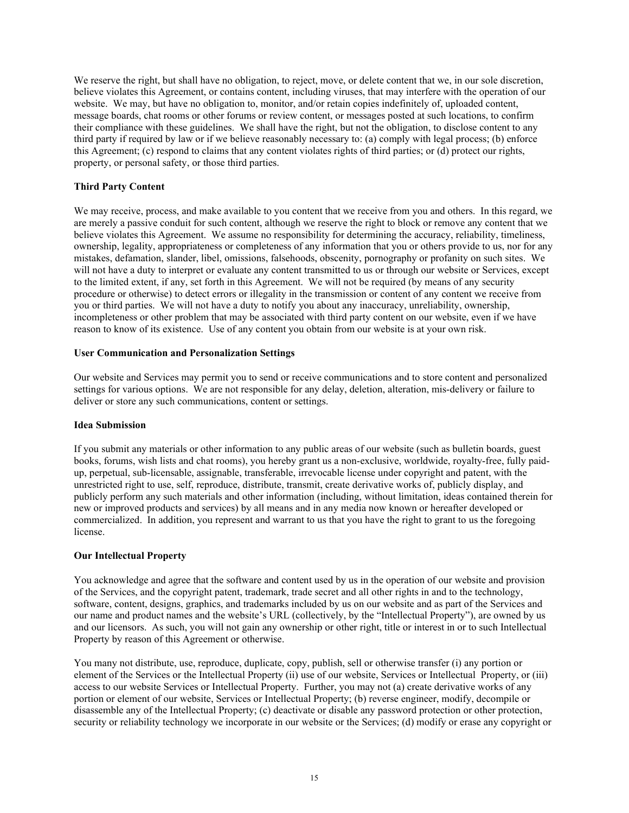We reserve the right, but shall have no obligation, to reject, move, or delete content that we, in our sole discretion, believe violates this Agreement, or contains content, including viruses, that may interfere with the operation of our website. We may, but have no obligation to, monitor, and/or retain copies indefinitely of, uploaded content, message boards, chat rooms or other forums or review content, or messages posted at such locations, to confirm their compliance with these guidelines. We shall have the right, but not the obligation, to disclose content to any third party if required by law or if we believe reasonably necessary to: (a) comply with legal process; (b) enforce this Agreement; (c) respond to claims that any content violates rights of third parties; or (d) protect our rights, property, or personal safety, or those third parties.

## **Third Party Content**

We may receive, process, and make available to you content that we receive from you and others. In this regard, we are merely a passive conduit for such content, although we reserve the right to block or remove any content that we believe violates this Agreement. We assume no responsibility for determining the accuracy, reliability, timeliness, ownership, legality, appropriateness or completeness of any information that you or others provide to us, nor for any mistakes, defamation, slander, libel, omissions, falsehoods, obscenity, pornography or profanity on such sites. We will not have a duty to interpret or evaluate any content transmitted to us or through our website or Services, except to the limited extent, if any, set forth in this Agreement. We will not be required (by means of any security procedure or otherwise) to detect errors or illegality in the transmission or content of any content we receive from you or third parties. We will not have a duty to notify you about any inaccuracy, unreliability, ownership, incompleteness or other problem that may be associated with third party content on our website, even if we have reason to know of its existence. Use of any content you obtain from our website is at your own risk.

## **User Communication and Personalization Settings**

Our website and Services may permit you to send or receive communications and to store content and personalized settings for various options. We are not responsible for any delay, deletion, alteration, mis-delivery or failure to deliver or store any such communications, content or settings.

### **Idea Submission**

If you submit any materials or other information to any public areas of our website (such as bulletin boards, guest books, forums, wish lists and chat rooms), you hereby grant us a non-exclusive, worldwide, royalty-free, fully paidup, perpetual, sub-licensable, assignable, transferable, irrevocable license under copyright and patent, with the unrestricted right to use, self, reproduce, distribute, transmit, create derivative works of, publicly display, and publicly perform any such materials and other information (including, without limitation, ideas contained therein for new or improved products and services) by all means and in any media now known or hereafter developed or commercialized. In addition, you represent and warrant to us that you have the right to grant to us the foregoing license.

## **Our Intellectual Property**

You acknowledge and agree that the software and content used by us in the operation of our website and provision of the Services, and the copyright patent, trademark, trade secret and all other rights in and to the technology, software, content, designs, graphics, and trademarks included by us on our website and as part of the Services and our name and product names and the website's URL (collectively, by the "Intellectual Property"), are owned by us and our licensors. As such, you will not gain any ownership or other right, title or interest in or to such Intellectual Property by reason of this Agreement or otherwise.

You many not distribute, use, reproduce, duplicate, copy, publish, sell or otherwise transfer (i) any portion or element of the Services or the Intellectual Property (ii) use of our website, Services or Intellectual Property, or (iii) access to our website Services or Intellectual Property. Further, you may not (a) create derivative works of any portion or element of our website, Services or Intellectual Property; (b) reverse engineer, modify, decompile or disassemble any of the Intellectual Property; (c) deactivate or disable any password protection or other protection, security or reliability technology we incorporate in our website or the Services; (d) modify or erase any copyright or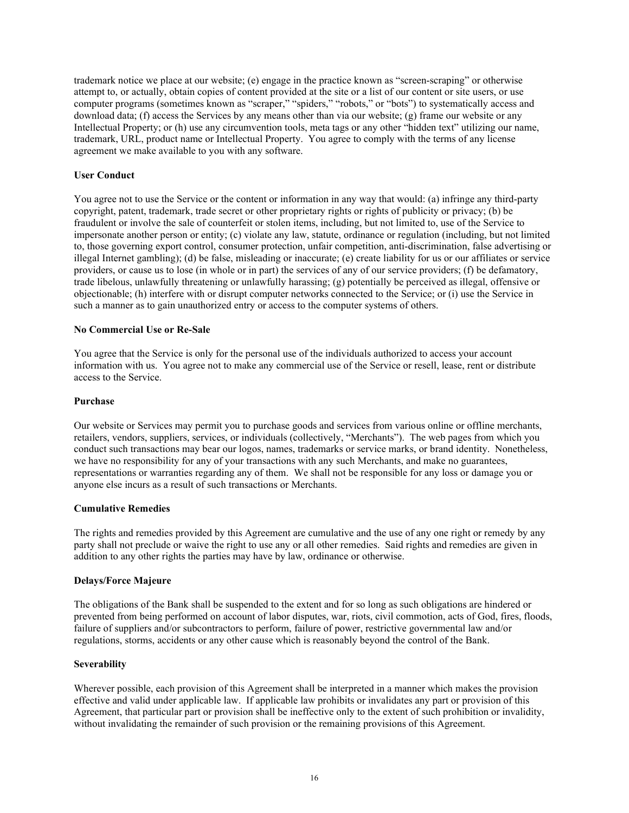trademark notice we place at our website; (e) engage in the practice known as "screen-scraping" or otherwise attempt to, or actually, obtain copies of content provided at the site or a list of our content or site users, or use computer programs (sometimes known as "scraper," "spiders," "robots," or "bots") to systematically access and download data; (f) access the Services by any means other than via our website; (g) frame our website or any Intellectual Property; or (h) use any circumvention tools, meta tags or any other "hidden text" utilizing our name, trademark, URL, product name or Intellectual Property. You agree to comply with the terms of any license agreement we make available to you with any software.

### **User Conduct**

You agree not to use the Service or the content or information in any way that would: (a) infringe any third-party copyright, patent, trademark, trade secret or other proprietary rights or rights of publicity or privacy; (b) be fraudulent or involve the sale of counterfeit or stolen items, including, but not limited to, use of the Service to impersonate another person or entity; (c) violate any law, statute, ordinance or regulation (including, but not limited to, those governing export control, consumer protection, unfair competition, anti-discrimination, false advertising or illegal Internet gambling); (d) be false, misleading or inaccurate; (e) create liability for us or our affiliates or service providers, or cause us to lose (in whole or in part) the services of any of our service providers; (f) be defamatory, trade libelous, unlawfully threatening or unlawfully harassing; (g) potentially be perceived as illegal, offensive or objectionable; (h) interfere with or disrupt computer networks connected to the Service; or (i) use the Service in such a manner as to gain unauthorized entry or access to the computer systems of others.

### **No Commercial Use or Re-Sale**

You agree that the Service is only for the personal use of the individuals authorized to access your account information with us. You agree not to make any commercial use of the Service or resell, lease, rent or distribute access to the Service.

### **Purchase**

Our website or Services may permit you to purchase goods and services from various online or offline merchants, retailers, vendors, suppliers, services, or individuals (collectively, "Merchants"). The web pages from which you conduct such transactions may bear our logos, names, trademarks or service marks, or brand identity. Nonetheless, we have no responsibility for any of your transactions with any such Merchants, and make no guarantees, representations or warranties regarding any of them. We shall not be responsible for any loss or damage you or anyone else incurs as a result of such transactions or Merchants.

### **Cumulative Remedies**

The rights and remedies provided by this Agreement are cumulative and the use of any one right or remedy by any party shall not preclude or waive the right to use any or all other remedies. Said rights and remedies are given in addition to any other rights the parties may have by law, ordinance or otherwise.

### **Delays/Force Majeure**

The obligations of the Bank shall be suspended to the extent and for so long as such obligations are hindered or prevented from being performed on account of labor disputes, war, riots, civil commotion, acts of God, fires, floods, failure of suppliers and/or subcontractors to perform, failure of power, restrictive governmental law and/or regulations, storms, accidents or any other cause which is reasonably beyond the control of the Bank.

### **Severability**

Wherever possible, each provision of this Agreement shall be interpreted in a manner which makes the provision effective and valid under applicable law. If applicable law prohibits or invalidates any part or provision of this Agreement, that particular part or provision shall be ineffective only to the extent of such prohibition or invalidity, without invalidating the remainder of such provision or the remaining provisions of this Agreement.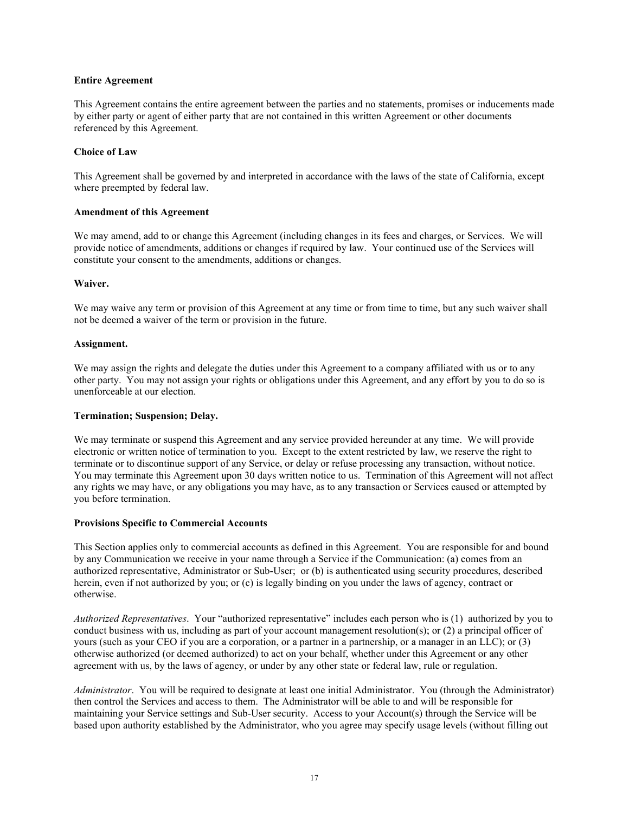### **Entire Agreement**

This Agreement contains the entire agreement between the parties and no statements, promises or inducements made by either party or agent of either party that are not contained in this written Agreement or other documents referenced by this Agreement.

### **Choice of Law**

This Agreement shall be governed by and interpreted in accordance with the laws of the state of California, except where preempted by federal law.

### **Amendment of this Agreement**

We may amend, add to or change this Agreement (including changes in its fees and charges, or Services. We will provide notice of amendments, additions or changes if required by law. Your continued use of the Services will constitute your consent to the amendments, additions or changes.

### **Waiver.**

We may waive any term or provision of this Agreement at any time or from time to time, but any such waiver shall not be deemed a waiver of the term or provision in the future.

### **Assignment.**

We may assign the rights and delegate the duties under this Agreement to a company affiliated with us or to any other party. You may not assign your rights or obligations under this Agreement, and any effort by you to do so is unenforceable at our election.

### **Termination; Suspension; Delay.**

We may terminate or suspend this Agreement and any service provided hereunder at any time. We will provide electronic or written notice of termination to you. Except to the extent restricted by law, we reserve the right to terminate or to discontinue support of any Service, or delay or refuse processing any transaction, without notice. You may terminate this Agreement upon 30 days written notice to us. Termination of this Agreement will not affect any rights we may have, or any obligations you may have, as to any transaction or Services caused or attempted by you before termination.

### **Provisions Specific to Commercial Accounts**

This Section applies only to commercial accounts as defined in this Agreement. You are responsible for and bound by any Communication we receive in your name through a Service if the Communication: (a) comes from an authorized representative, Administrator or Sub-User; or (b) is authenticated using security procedures, described herein, even if not authorized by you; or (c) is legally binding on you under the laws of agency, contract or otherwise.

*Authorized Representatives*. Your "authorized representative" includes each person who is (1) authorized by you to conduct business with us, including as part of your account management resolution(s); or (2) a principal officer of yours (such as your CEO if you are a corporation, or a partner in a partnership, or a manager in an LLC); or (3) otherwise authorized (or deemed authorized) to act on your behalf, whether under this Agreement or any other agreement with us, by the laws of agency, or under by any other state or federal law, rule or regulation.

*Administrator*. You will be required to designate at least one initial Administrator. You (through the Administrator) then control the Services and access to them. The Administrator will be able to and will be responsible for maintaining your Service settings and Sub-User security. Access to your Account(s) through the Service will be based upon authority established by the Administrator, who you agree may specify usage levels (without filling out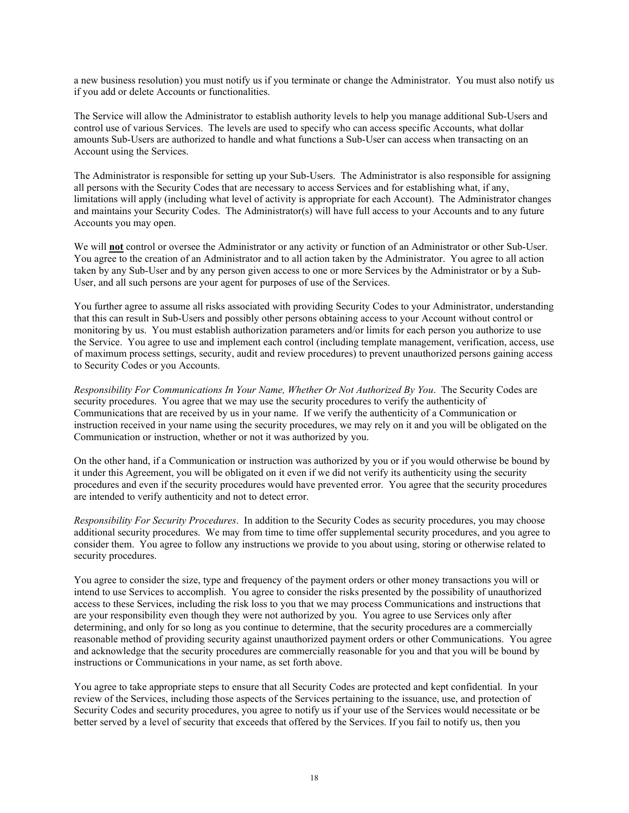a new business resolution) you must notify us if you terminate or change the Administrator. You must also notify us if you add or delete Accounts or functionalities.

The Service will allow the Administrator to establish authority levels to help you manage additional Sub-Users and control use of various Services. The levels are used to specify who can access specific Accounts, what dollar amounts Sub-Users are authorized to handle and what functions a Sub-User can access when transacting on an Account using the Services.

The Administrator is responsible for setting up your Sub-Users. The Administrator is also responsible for assigning all persons with the Security Codes that are necessary to access Services and for establishing what, if any, limitations will apply (including what level of activity is appropriate for each Account). The Administrator changes and maintains your Security Codes. The Administrator(s) will have full access to your Accounts and to any future Accounts you may open.

We will **not** control or oversee the Administrator or any activity or function of an Administrator or other Sub-User. You agree to the creation of an Administrator and to all action taken by the Administrator. You agree to all action taken by any Sub-User and by any person given access to one or more Services by the Administrator or by a Sub-User, and all such persons are your agent for purposes of use of the Services.

You further agree to assume all risks associated with providing Security Codes to your Administrator, understanding that this can result in Sub-Users and possibly other persons obtaining access to your Account without control or monitoring by us. You must establish authorization parameters and/or limits for each person you authorize to use the Service. You agree to use and implement each control (including template management, verification, access, use of maximum process settings, security, audit and review procedures) to prevent unauthorized persons gaining access to Security Codes or you Accounts.

*Responsibility For Communications In Your Name, Whether Or Not Authorized By You*. The Security Codes are security procedures. You agree that we may use the security procedures to verify the authenticity of Communications that are received by us in your name. If we verify the authenticity of a Communication or instruction received in your name using the security procedures, we may rely on it and you will be obligated on the Communication or instruction, whether or not it was authorized by you.

On the other hand, if a Communication or instruction was authorized by you or if you would otherwise be bound by it under this Agreement, you will be obligated on it even if we did not verify its authenticity using the security procedures and even if the security procedures would have prevented error. You agree that the security procedures are intended to verify authenticity and not to detect error.

*Responsibility For Security Procedures*. In addition to the Security Codes as security procedures, you may choose additional security procedures. We may from time to time offer supplemental security procedures, and you agree to consider them. You agree to follow any instructions we provide to you about using, storing or otherwise related to security procedures.

You agree to consider the size, type and frequency of the payment orders or other money transactions you will or intend to use Services to accomplish. You agree to consider the risks presented by the possibility of unauthorized access to these Services, including the risk loss to you that we may process Communications and instructions that are your responsibility even though they were not authorized by you. You agree to use Services only after determining, and only for so long as you continue to determine, that the security procedures are a commercially reasonable method of providing security against unauthorized payment orders or other Communications. You agree and acknowledge that the security procedures are commercially reasonable for you and that you will be bound by instructions or Communications in your name, as set forth above.

You agree to take appropriate steps to ensure that all Security Codes are protected and kept confidential. In your review of the Services, including those aspects of the Services pertaining to the issuance, use, and protection of Security Codes and security procedures, you agree to notify us if your use of the Services would necessitate or be better served by a level of security that exceeds that offered by the Services. If you fail to notify us, then you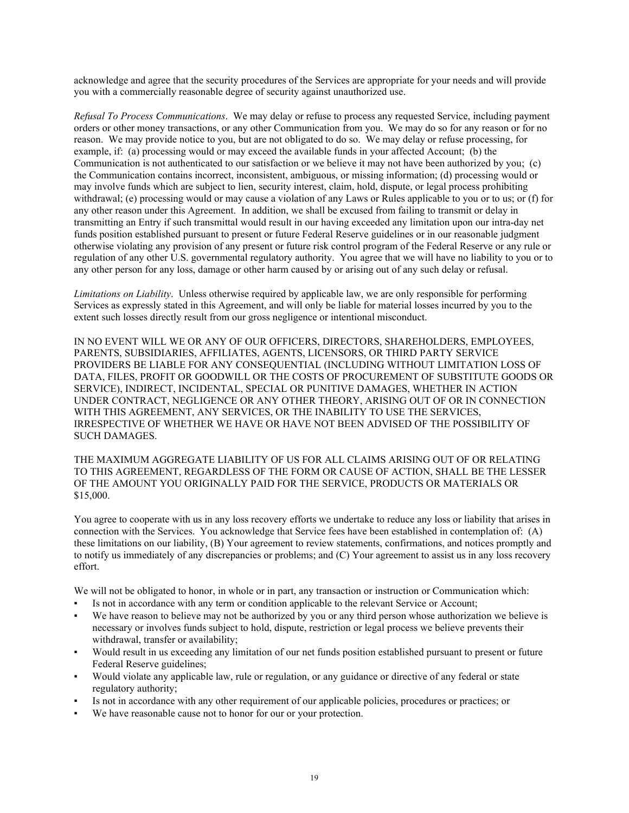acknowledge and agree that the security procedures of the Services are appropriate for your needs and will provide you with a commercially reasonable degree of security against unauthorized use.

*Refusal To Process Communications*. We may delay or refuse to process any requested Service, including payment orders or other money transactions, or any other Communication from you. We may do so for any reason or for no reason. We may provide notice to you, but are not obligated to do so. We may delay or refuse processing, for example, if: (a) processing would or may exceed the available funds in your affected Account; (b) the Communication is not authenticated to our satisfaction or we believe it may not have been authorized by you; (c) the Communication contains incorrect, inconsistent, ambiguous, or missing information; (d) processing would or may involve funds which are subject to lien, security interest, claim, hold, dispute, or legal process prohibiting withdrawal; (e) processing would or may cause a violation of any Laws or Rules applicable to you or to us; or (f) for any other reason under this Agreement. In addition, we shall be excused from failing to transmit or delay in transmitting an Entry if such transmittal would result in our having exceeded any limitation upon our intra-day net funds position established pursuant to present or future Federal Reserve guidelines or in our reasonable judgment otherwise violating any provision of any present or future risk control program of the Federal Reserve or any rule or regulation of any other U.S. governmental regulatory authority. You agree that we will have no liability to you or to any other person for any loss, damage or other harm caused by or arising out of any such delay or refusal.

*Limitations on Liability*. Unless otherwise required by applicable law, we are only responsible for performing Services as expressly stated in this Agreement, and will only be liable for material losses incurred by you to the extent such losses directly result from our gross negligence or intentional misconduct.

IN NO EVENT WILL WE OR ANY OF OUR OFFICERS, DIRECTORS, SHAREHOLDERS, EMPLOYEES, PARENTS, SUBSIDIARIES, AFFILIATES, AGENTS, LICENSORS, OR THIRD PARTY SERVICE PROVIDERS BE LIABLE FOR ANY CONSEQUENTIAL (INCLUDING WITHOUT LIMITATION LOSS OF DATA, FILES, PROFIT OR GOODWILL OR THE COSTS OF PROCUREMENT OF SUBSTITUTE GOODS OR SERVICE), INDIRECT, INCIDENTAL, SPECIAL OR PUNITIVE DAMAGES, WHETHER IN ACTION UNDER CONTRACT, NEGLIGENCE OR ANY OTHER THEORY, ARISING OUT OF OR IN CONNECTION WITH THIS AGREEMENT, ANY SERVICES, OR THE INABILITY TO USE THE SERVICES, IRRESPECTIVE OF WHETHER WE HAVE OR HAVE NOT BEEN ADVISED OF THE POSSIBILITY OF SUCH DAMAGES.

THE MAXIMUM AGGREGATE LIABILITY OF US FOR ALL CLAIMS ARISING OUT OF OR RELATING TO THIS AGREEMENT, REGARDLESS OF THE FORM OR CAUSE OF ACTION, SHALL BE THE LESSER OF THE AMOUNT YOU ORIGINALLY PAID FOR THE SERVICE, PRODUCTS OR MATERIALS OR \$15,000.

You agree to cooperate with us in any loss recovery efforts we undertake to reduce any loss or liability that arises in connection with the Services. You acknowledge that Service fees have been established in contemplation of: (A) these limitations on our liability, (B) Your agreement to review statements, confirmations, and notices promptly and to notify us immediately of any discrepancies or problems; and (C) Your agreement to assist us in any loss recovery effort.

We will not be obligated to honor, in whole or in part, any transaction or instruction or Communication which:

- Is not in accordance with any term or condition applicable to the relevant Service or Account;
- We have reason to believe may not be authorized by you or any third person whose authorization we believe is necessary or involves funds subject to hold, dispute, restriction or legal process we believe prevents their withdrawal, transfer or availability;
- Would result in us exceeding any limitation of our net funds position established pursuant to present or future Federal Reserve guidelines;
- Would violate any applicable law, rule or regulation, or any guidance or directive of any federal or state regulatory authority;
- Is not in accordance with any other requirement of our applicable policies, procedures or practices; or
- We have reasonable cause not to honor for our or your protection.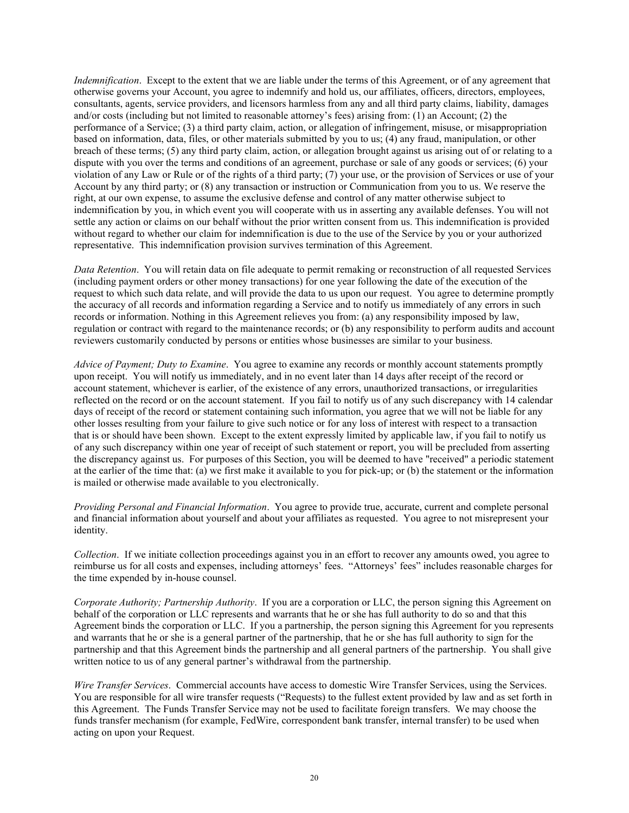*Indemnification*. Except to the extent that we are liable under the terms of this Agreement, or of any agreement that otherwise governs your Account, you agree to indemnify and hold us, our affiliates, officers, directors, employees, consultants, agents, service providers, and licensors harmless from any and all third party claims, liability, damages and/or costs (including but not limited to reasonable attorney's fees) arising from: (1) an Account; (2) the performance of a Service; (3) a third party claim, action, or allegation of infringement, misuse, or misappropriation based on information, data, files, or other materials submitted by you to us; (4) any fraud, manipulation, or other breach of these terms; (5) any third party claim, action, or allegation brought against us arising out of or relating to a dispute with you over the terms and conditions of an agreement, purchase or sale of any goods or services; (6) your violation of any Law or Rule or of the rights of a third party; (7) your use, or the provision of Services or use of your Account by any third party; or (8) any transaction or instruction or Communication from you to us. We reserve the right, at our own expense, to assume the exclusive defense and control of any matter otherwise subject to indemnification by you, in which event you will cooperate with us in asserting any available defenses. You will not settle any action or claims on our behalf without the prior written consent from us. This indemnification is provided without regard to whether our claim for indemnification is due to the use of the Service by you or your authorized representative. This indemnification provision survives termination of this Agreement.

*Data Retention*. You will retain data on file adequate to permit remaking or reconstruction of all requested Services (including payment orders or other money transactions) for one year following the date of the execution of the request to which such data relate, and will provide the data to us upon our request. You agree to determine promptly the accuracy of all records and information regarding a Service and to notify us immediately of any errors in such records or information. Nothing in this Agreement relieves you from: (a) any responsibility imposed by law, regulation or contract with regard to the maintenance records; or (b) any responsibility to perform audits and account reviewers customarily conducted by persons or entities whose businesses are similar to your business.

*Advice of Payment; Duty to Examine*. You agree to examine any records or monthly account statements promptly upon receipt. You will notify us immediately, and in no event later than 14 days after receipt of the record or account statement, whichever is earlier, of the existence of any errors, unauthorized transactions, or irregularities reflected on the record or on the account statement. If you fail to notify us of any such discrepancy with 14 calendar days of receipt of the record or statement containing such information, you agree that we will not be liable for any other losses resulting from your failure to give such notice or for any loss of interest with respect to a transaction that is or should have been shown. Except to the extent expressly limited by applicable law, if you fail to notify us of any such discrepancy within one year of receipt of such statement or report, you will be precluded from asserting the discrepancy against us. For purposes of this Section, you will be deemed to have "received" a periodic statement at the earlier of the time that: (a) we first make it available to you for pick-up; or (b) the statement or the information is mailed or otherwise made available to you electronically.

*Providing Personal and Financial Information*. You agree to provide true, accurate, current and complete personal and financial information about yourself and about your affiliates as requested. You agree to not misrepresent your identity.

*Collection*. If we initiate collection proceedings against you in an effort to recover any amounts owed, you agree to reimburse us for all costs and expenses, including attorneys' fees. "Attorneys' fees" includes reasonable charges for the time expended by in-house counsel.

*Corporate Authority; Partnership Authority*. If you are a corporation or LLC, the person signing this Agreement on behalf of the corporation or LLC represents and warrants that he or she has full authority to do so and that this Agreement binds the corporation or LLC. If you a partnership, the person signing this Agreement for you represents and warrants that he or she is a general partner of the partnership, that he or she has full authority to sign for the partnership and that this Agreement binds the partnership and all general partners of the partnership. You shall give written notice to us of any general partner's withdrawal from the partnership.

*Wire Transfer Services*. Commercial accounts have access to domestic Wire Transfer Services, using the Services. You are responsible for all wire transfer requests ("Requests) to the fullest extent provided by law and as set forth in this Agreement. The Funds Transfer Service may not be used to facilitate foreign transfers. We may choose the funds transfer mechanism (for example, FedWire, correspondent bank transfer, internal transfer) to be used when acting on upon your Request.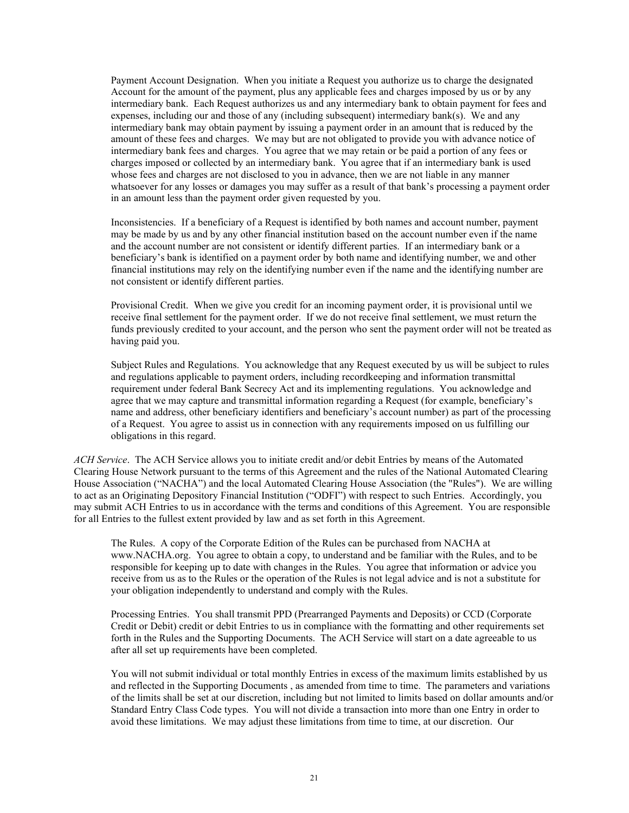Payment Account Designation. When you initiate a Request you authorize us to charge the designated Account for the amount of the payment, plus any applicable fees and charges imposed by us or by any intermediary bank. Each Request authorizes us and any intermediary bank to obtain payment for fees and expenses, including our and those of any (including subsequent) intermediary bank(s). We and any intermediary bank may obtain payment by issuing a payment order in an amount that is reduced by the amount of these fees and charges. We may but are not obligated to provide you with advance notice of intermediary bank fees and charges. You agree that we may retain or be paid a portion of any fees or charges imposed or collected by an intermediary bank. You agree that if an intermediary bank is used whose fees and charges are not disclosed to you in advance, then we are not liable in any manner whatsoever for any losses or damages you may suffer as a result of that bank's processing a payment order in an amount less than the payment order given requested by you.

Inconsistencies. If a beneficiary of a Request is identified by both names and account number, payment may be made by us and by any other financial institution based on the account number even if the name and the account number are not consistent or identify different parties. If an intermediary bank or a beneficiary's bank is identified on a payment order by both name and identifying number, we and other financial institutions may rely on the identifying number even if the name and the identifying number are not consistent or identify different parties.

Provisional Credit. When we give you credit for an incoming payment order, it is provisional until we receive final settlement for the payment order. If we do not receive final settlement, we must return the funds previously credited to your account, and the person who sent the payment order will not be treated as having paid you.

Subject Rules and Regulations. You acknowledge that any Request executed by us will be subject to rules and regulations applicable to payment orders, including recordkeeping and information transmittal requirement under federal Bank Secrecy Act and its implementing regulations. You acknowledge and agree that we may capture and transmittal information regarding a Request (for example, beneficiary's name and address, other beneficiary identifiers and beneficiary's account number) as part of the processing of a Request. You agree to assist us in connection with any requirements imposed on us fulfilling our obligations in this regard.

*ACH Service*. The ACH Service allows you to initiate credit and/or debit Entries by means of the Automated Clearing House Network pursuant to the terms of this Agreement and the rules of the National Automated Clearing House Association ("NACHA") and the local Automated Clearing House Association (the "Rules"). We are willing to act as an Originating Depository Financial Institution ("ODFI") with respect to such Entries. Accordingly, you may submit ACH Entries to us in accordance with the terms and conditions of this Agreement. You are responsible for all Entries to the fullest extent provided by law and as set forth in this Agreement.

The Rules. A copy of the Corporate Edition of the Rules can be purchased from NACHA at www.NACHA.org. You agree to obtain a copy, to understand and be familiar with the Rules, and to be responsible for keeping up to date with changes in the Rules. You agree that information or advice you receive from us as to the Rules or the operation of the Rules is not legal advice and is not a substitute for your obligation independently to understand and comply with the Rules.

Processing Entries. You shall transmit PPD (Prearranged Payments and Deposits) or CCD (Corporate Credit or Debit) credit or debit Entries to us in compliance with the formatting and other requirements set forth in the Rules and the Supporting Documents. The ACH Service will start on a date agreeable to us after all set up requirements have been completed.

You will not submit individual or total monthly Entries in excess of the maximum limits established by us and reflected in the Supporting Documents , as amended from time to time. The parameters and variations of the limits shall be set at our discretion, including but not limited to limits based on dollar amounts and/or Standard Entry Class Code types. You will not divide a transaction into more than one Entry in order to avoid these limitations. We may adjust these limitations from time to time, at our discretion. Our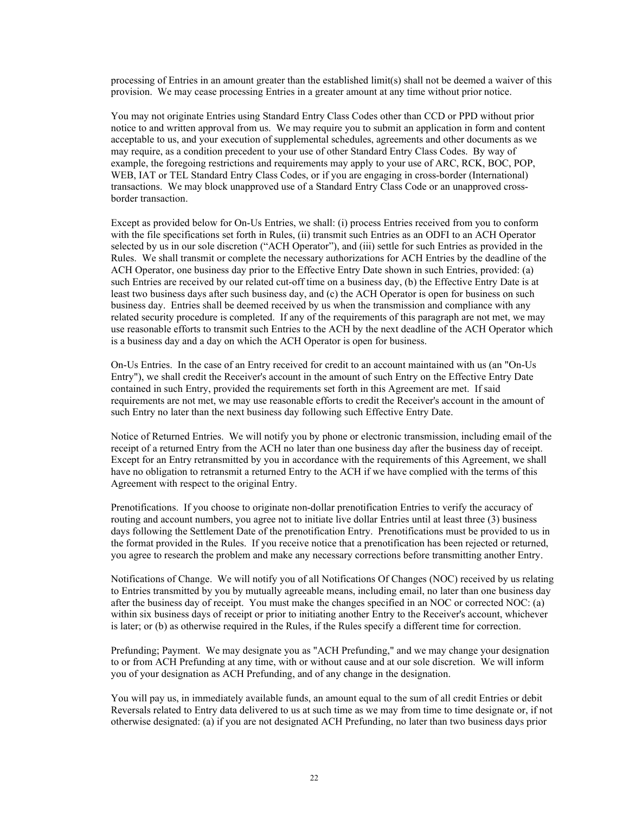processing of Entries in an amount greater than the established limit(s) shall not be deemed a waiver of this provision. We may cease processing Entries in a greater amount at any time without prior notice.

You may not originate Entries using Standard Entry Class Codes other than CCD or PPD without prior notice to and written approval from us. We may require you to submit an application in form and content acceptable to us, and your execution of supplemental schedules, agreements and other documents as we may require, as a condition precedent to your use of other Standard Entry Class Codes. By way of example, the foregoing restrictions and requirements may apply to your use of ARC, RCK, BOC, POP, WEB, IAT or TEL Standard Entry Class Codes, or if you are engaging in cross-border (International) transactions. We may block unapproved use of a Standard Entry Class Code or an unapproved crossborder transaction.

Except as provided below for On-Us Entries, we shall: (i) process Entries received from you to conform with the file specifications set forth in Rules, (ii) transmit such Entries as an ODFI to an ACH Operator selected by us in our sole discretion ("ACH Operator"), and (iii) settle for such Entries as provided in the Rules. We shall transmit or complete the necessary authorizations for ACH Entries by the deadline of the ACH Operator, one business day prior to the Effective Entry Date shown in such Entries, provided: (a) such Entries are received by our related cut-off time on a business day, (b) the Effective Entry Date is at least two business days after such business day, and (c) the ACH Operator is open for business on such business day. Entries shall be deemed received by us when the transmission and compliance with any related security procedure is completed. If any of the requirements of this paragraph are not met, we may use reasonable efforts to transmit such Entries to the ACH by the next deadline of the ACH Operator which is a business day and a day on which the ACH Operator is open for business.

On-Us Entries. In the case of an Entry received for credit to an account maintained with us (an "On-Us Entry"), we shall credit the Receiver's account in the amount of such Entry on the Effective Entry Date contained in such Entry, provided the requirements set forth in this Agreement are met. If said requirements are not met, we may use reasonable efforts to credit the Receiver's account in the amount of such Entry no later than the next business day following such Effective Entry Date.

Notice of Returned Entries. We will notify you by phone or electronic transmission, including email of the receipt of a returned Entry from the ACH no later than one business day after the business day of receipt. Except for an Entry retransmitted by you in accordance with the requirements of this Agreement, we shall have no obligation to retransmit a returned Entry to the ACH if we have complied with the terms of this Agreement with respect to the original Entry.

Prenotifications. If you choose to originate non-dollar prenotification Entries to verify the accuracy of routing and account numbers, you agree not to initiate live dollar Entries until at least three (3) business days following the Settlement Date of the prenotification Entry. Prenotifications must be provided to us in the format provided in the Rules. If you receive notice that a prenotification has been rejected or returned, you agree to research the problem and make any necessary corrections before transmitting another Entry.

Notifications of Change. We will notify you of all Notifications Of Changes (NOC) received by us relating to Entries transmitted by you by mutually agreeable means, including email, no later than one business day after the business day of receipt. You must make the changes specified in an NOC or corrected NOC: (a) within six business days of receipt or prior to initiating another Entry to the Receiver's account, whichever is later; or (b) as otherwise required in the Rules, if the Rules specify a different time for correction.

Prefunding; Payment. We may designate you as "ACH Prefunding," and we may change your designation to or from ACH Prefunding at any time, with or without cause and at our sole discretion. We will inform you of your designation as ACH Prefunding, and of any change in the designation.

You will pay us, in immediately available funds, an amount equal to the sum of all credit Entries or debit Reversals related to Entry data delivered to us at such time as we may from time to time designate or, if not otherwise designated: (a) if you are not designated ACH Prefunding, no later than two business days prior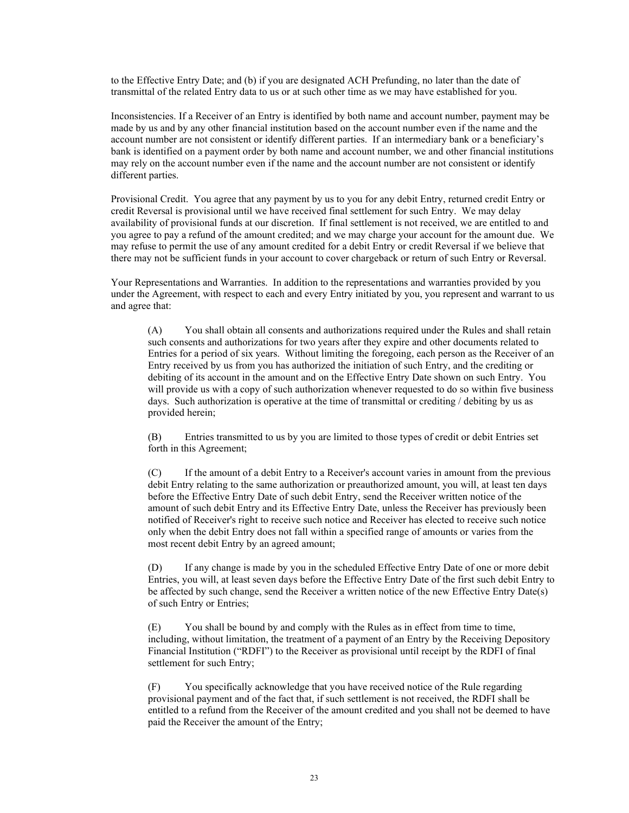to the Effective Entry Date; and (b) if you are designated ACH Prefunding, no later than the date of transmittal of the related Entry data to us or at such other time as we may have established for you.

Inconsistencies. If a Receiver of an Entry is identified by both name and account number, payment may be made by us and by any other financial institution based on the account number even if the name and the account number are not consistent or identify different parties. If an intermediary bank or a beneficiary's bank is identified on a payment order by both name and account number, we and other financial institutions may rely on the account number even if the name and the account number are not consistent or identify different parties.

Provisional Credit. You agree that any payment by us to you for any debit Entry, returned credit Entry or credit Reversal is provisional until we have received final settlement for such Entry. We may delay availability of provisional funds at our discretion. If final settlement is not received, we are entitled to and you agree to pay a refund of the amount credited; and we may charge your account for the amount due. We may refuse to permit the use of any amount credited for a debit Entry or credit Reversal if we believe that there may not be sufficient funds in your account to cover chargeback or return of such Entry or Reversal.

Your Representations and Warranties. In addition to the representations and warranties provided by you under the Agreement, with respect to each and every Entry initiated by you, you represent and warrant to us and agree that:

(A) You shall obtain all consents and authorizations required under the Rules and shall retain such consents and authorizations for two years after they expire and other documents related to Entries for a period of six years. Without limiting the foregoing, each person as the Receiver of an Entry received by us from you has authorized the initiation of such Entry, and the crediting or debiting of its account in the amount and on the Effective Entry Date shown on such Entry. You will provide us with a copy of such authorization whenever requested to do so within five business days. Such authorization is operative at the time of transmittal or crediting / debiting by us as provided herein;

(B) Entries transmitted to us by you are limited to those types of credit or debit Entries set forth in this Agreement;

(C) If the amount of a debit Entry to a Receiver's account varies in amount from the previous debit Entry relating to the same authorization or preauthorized amount, you will, at least ten days before the Effective Entry Date of such debit Entry, send the Receiver written notice of the amount of such debit Entry and its Effective Entry Date, unless the Receiver has previously been notified of Receiver's right to receive such notice and Receiver has elected to receive such notice only when the debit Entry does not fall within a specified range of amounts or varies from the most recent debit Entry by an agreed amount;

(D) If any change is made by you in the scheduled Effective Entry Date of one or more debit Entries, you will, at least seven days before the Effective Entry Date of the first such debit Entry to be affected by such change, send the Receiver a written notice of the new Effective Entry Date(s) of such Entry or Entries;

(E) You shall be bound by and comply with the Rules as in effect from time to time, including, without limitation, the treatment of a payment of an Entry by the Receiving Depository Financial Institution ("RDFI") to the Receiver as provisional until receipt by the RDFI of final settlement for such Entry;

(F) You specifically acknowledge that you have received notice of the Rule regarding provisional payment and of the fact that, if such settlement is not received, the RDFI shall be entitled to a refund from the Receiver of the amount credited and you shall not be deemed to have paid the Receiver the amount of the Entry;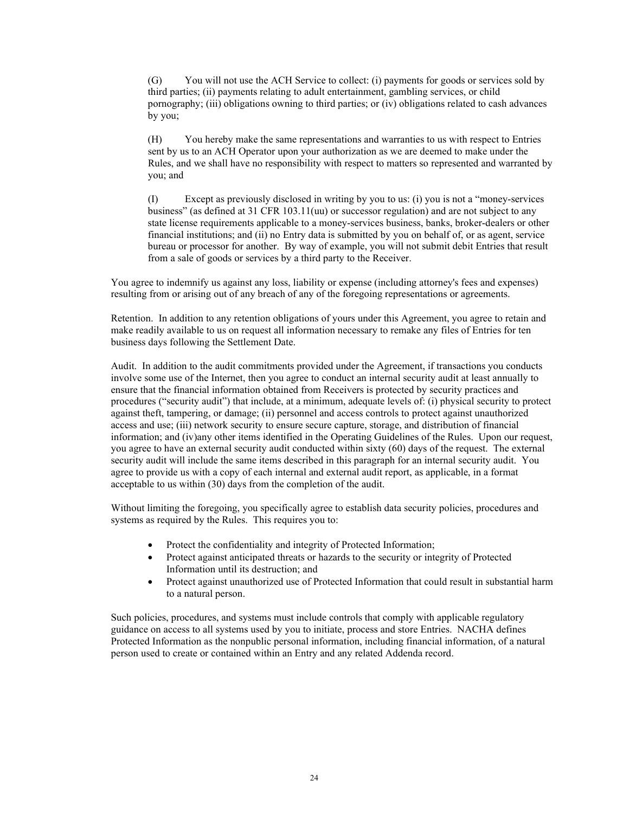(G) You will not use the ACH Service to collect: (i) payments for goods or services sold by third parties; (ii) payments relating to adult entertainment, gambling services, or child pornography; (iii) obligations owning to third parties; or (iv) obligations related to cash advances by you;

(H) You hereby make the same representations and warranties to us with respect to Entries sent by us to an ACH Operator upon your authorization as we are deemed to make under the Rules, and we shall have no responsibility with respect to matters so represented and warranted by you; and

(I) Except as previously disclosed in writing by you to us: (i) you is not a "money-services business" (as defined at 31 CFR 103.11(uu) or successor regulation) and are not subject to any state license requirements applicable to a money-services business, banks, broker-dealers or other financial institutions; and (ii) no Entry data is submitted by you on behalf of, or as agent, service bureau or processor for another. By way of example, you will not submit debit Entries that result from a sale of goods or services by a third party to the Receiver.

You agree to indemnify us against any loss, liability or expense (including attorney's fees and expenses) resulting from or arising out of any breach of any of the foregoing representations or agreements.

Retention. In addition to any retention obligations of yours under this Agreement, you agree to retain and make readily available to us on request all information necessary to remake any files of Entries for ten business days following the Settlement Date.

Audit. In addition to the audit commitments provided under the Agreement, if transactions you conducts involve some use of the Internet, then you agree to conduct an internal security audit at least annually to ensure that the financial information obtained from Receivers is protected by security practices and procedures ("security audit") that include, at a minimum, adequate levels of: (i) physical security to protect against theft, tampering, or damage; (ii) personnel and access controls to protect against unauthorized access and use; (iii) network security to ensure secure capture, storage, and distribution of financial information; and (iv)any other items identified in the Operating Guidelines of the Rules. Upon our request, you agree to have an external security audit conducted within sixty (60) days of the request. The external security audit will include the same items described in this paragraph for an internal security audit. You agree to provide us with a copy of each internal and external audit report, as applicable, in a format acceptable to us within (30) days from the completion of the audit.

Without limiting the foregoing, you specifically agree to establish data security policies, procedures and systems as required by the Rules. This requires you to:

- Protect the confidentiality and integrity of Protected Information;
- Protect against anticipated threats or hazards to the security or integrity of Protected Information until its destruction; and
- Protect against unauthorized use of Protected Information that could result in substantial harm to a natural person.

Such policies, procedures, and systems must include controls that comply with applicable regulatory guidance on access to all systems used by you to initiate, process and store Entries. NACHA defines Protected Information as the nonpublic personal information, including financial information, of a natural person used to create or contained within an Entry and any related Addenda record.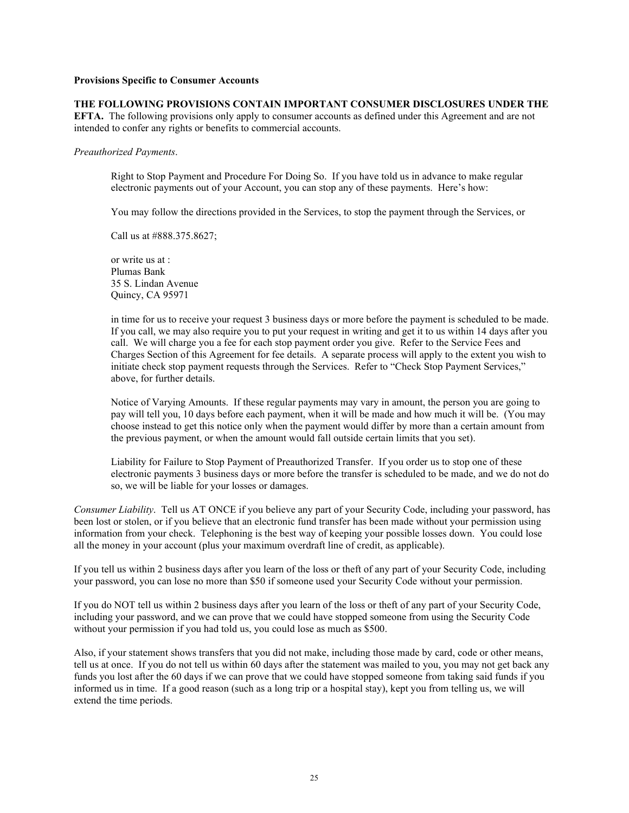### **Provisions Specific to Consumer Accounts**

**THE FOLLOWING PROVISIONS CONTAIN IMPORTANT CONSUMER DISCLOSURES UNDER THE EFTA.** The following provisions only apply to consumer accounts as defined under this Agreement and are not intended to confer any rights or benefits to commercial accounts.

#### *Preauthorized Payments*.

Right to Stop Payment and Procedure For Doing So. If you have told us in advance to make regular electronic payments out of your Account, you can stop any of these payments. Here's how:

You may follow the directions provided in the Services, to stop the payment through the Services, or

Call us at #888.375.8627;

or write us at : Plumas Bank 35 S. Lindan Avenue Quincy, CA 95971

in time for us to receive your request 3 business days or more before the payment is scheduled to be made. If you call, we may also require you to put your request in writing and get it to us within 14 days after you call. We will charge you a fee for each stop payment order you give. Refer to the Service Fees and Charges Section of this Agreement for fee details. A separate process will apply to the extent you wish to initiate check stop payment requests through the Services. Refer to "Check Stop Payment Services," above, for further details.

Notice of Varying Amounts. If these regular payments may vary in amount, the person you are going to pay will tell you, 10 days before each payment, when it will be made and how much it will be. (You may choose instead to get this notice only when the payment would differ by more than a certain amount from the previous payment, or when the amount would fall outside certain limits that you set).

Liability for Failure to Stop Payment of Preauthorized Transfer. If you order us to stop one of these electronic payments 3 business days or more before the transfer is scheduled to be made, and we do not do so, we will be liable for your losses or damages.

*Consumer Liability*. Tell us AT ONCE if you believe any part of your Security Code, including your password, has been lost or stolen, or if you believe that an electronic fund transfer has been made without your permission using information from your check. Telephoning is the best way of keeping your possible losses down. You could lose all the money in your account (plus your maximum overdraft line of credit, as applicable).

If you tell us within 2 business days after you learn of the loss or theft of any part of your Security Code, including your password, you can lose no more than \$50 if someone used your Security Code without your permission.

If you do NOT tell us within 2 business days after you learn of the loss or theft of any part of your Security Code, including your password, and we can prove that we could have stopped someone from using the Security Code without your permission if you had told us, you could lose as much as \$500.

Also, if your statement shows transfers that you did not make, including those made by card, code or other means, tell us at once. If you do not tell us within 60 days after the statement was mailed to you, you may not get back any funds you lost after the 60 days if we can prove that we could have stopped someone from taking said funds if you informed us in time. If a good reason (such as a long trip or a hospital stay), kept you from telling us, we will extend the time periods.